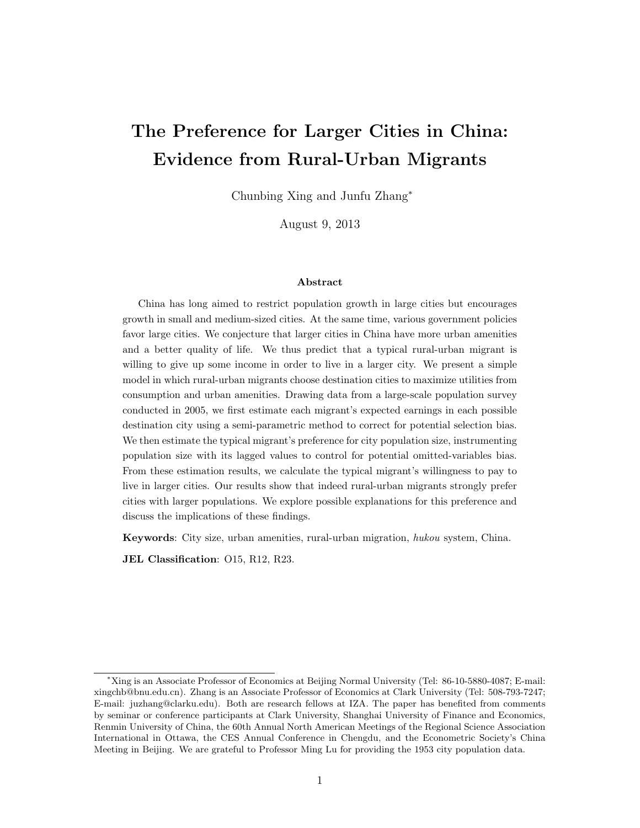# The Preference for Larger Cities in China: Evidence from Rural-Urban Migrants

Chunbing Xing and Junfu Zhang<sup>∗</sup>

August 9, 2013

#### Abstract

China has long aimed to restrict population growth in large cities but encourages growth in small and medium-sized cities. At the same time, various government policies favor large cities. We conjecture that larger cities in China have more urban amenities and a better quality of life. We thus predict that a typical rural-urban migrant is willing to give up some income in order to live in a larger city. We present a simple model in which rural-urban migrants choose destination cities to maximize utilities from consumption and urban amenities. Drawing data from a large-scale population survey conducted in 2005, we first estimate each migrant's expected earnings in each possible destination city using a semi-parametric method to correct for potential selection bias. We then estimate the typical migrant's preference for city population size, instrumenting population size with its lagged values to control for potential omitted-variables bias. From these estimation results, we calculate the typical migrant's willingness to pay to live in larger cities. Our results show that indeed rural-urban migrants strongly prefer cities with larger populations. We explore possible explanations for this preference and discuss the implications of these findings.

Keywords: City size, urban amenities, rural-urban migration, hukou system, China.

JEL Classification: O15, R12, R23.

<sup>∗</sup>Xing is an Associate Professor of Economics at Beijing Normal University (Tel: 86-10-5880-4087; E-mail: xingchb@bnu.edu.cn). Zhang is an Associate Professor of Economics at Clark University (Tel: 508-793-7247; E-mail: juzhang@clarku.edu). Both are research fellows at IZA. The paper has benefited from comments by seminar or conference participants at Clark University, Shanghai University of Finance and Economics, Renmin University of China, the 60th Annual North American Meetings of the Regional Science Association International in Ottawa, the CES Annual Conference in Chengdu, and the Econometric Society's China Meeting in Beijing. We are grateful to Professor Ming Lu for providing the 1953 city population data.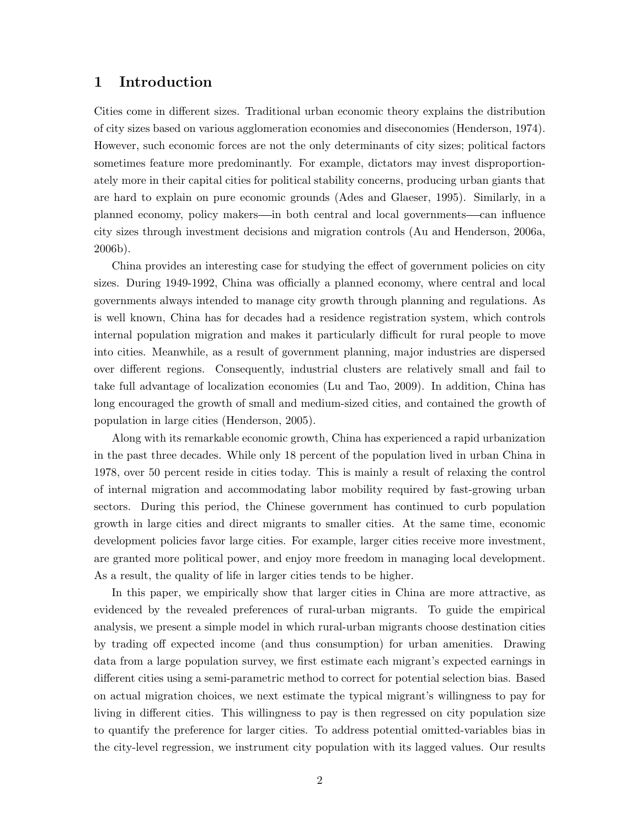## 1 Introduction

Cities come in different sizes. Traditional urban economic theory explains the distribution of city sizes based on various agglomeration economies and diseconomies (Henderson, 1974). However, such economic forces are not the only determinants of city sizes; political factors sometimes feature more predominantly. For example, dictators may invest disproportionately more in their capital cities for political stability concerns, producing urban giants that are hard to explain on pure economic grounds (Ades and Glaeser, 1995). Similarly, in a planned economy, policy makers—in both central and local governments—can influence city sizes through investment decisions and migration controls (Au and Henderson, 2006a, 2006b).

China provides an interesting case for studying the effect of government policies on city sizes. During 1949-1992, China was officially a planned economy, where central and local governments always intended to manage city growth through planning and regulations. As is well known, China has for decades had a residence registration system, which controls internal population migration and makes it particularly difficult for rural people to move into cities. Meanwhile, as a result of government planning, major industries are dispersed over different regions. Consequently, industrial clusters are relatively small and fail to take full advantage of localization economies (Lu and Tao, 2009). In addition, China has long encouraged the growth of small and medium-sized cities, and contained the growth of population in large cities (Henderson, 2005).

Along with its remarkable economic growth, China has experienced a rapid urbanization in the past three decades. While only 18 percent of the population lived in urban China in 1978, over 50 percent reside in cities today. This is mainly a result of relaxing the control of internal migration and accommodating labor mobility required by fast-growing urban sectors. During this period, the Chinese government has continued to curb population growth in large cities and direct migrants to smaller cities. At the same time, economic development policies favor large cities. For example, larger cities receive more investment, are granted more political power, and enjoy more freedom in managing local development. As a result, the quality of life in larger cities tends to be higher.

In this paper, we empirically show that larger cities in China are more attractive, as evidenced by the revealed preferences of rural-urban migrants. To guide the empirical analysis, we present a simple model in which rural-urban migrants choose destination cities by trading off expected income (and thus consumption) for urban amenities. Drawing data from a large population survey, we first estimate each migrant's expected earnings in different cities using a semi-parametric method to correct for potential selection bias. Based on actual migration choices, we next estimate the typical migrant's willingness to pay for living in different cities. This willingness to pay is then regressed on city population size to quantify the preference for larger cities. To address potential omitted-variables bias in the city-level regression, we instrument city population with its lagged values. Our results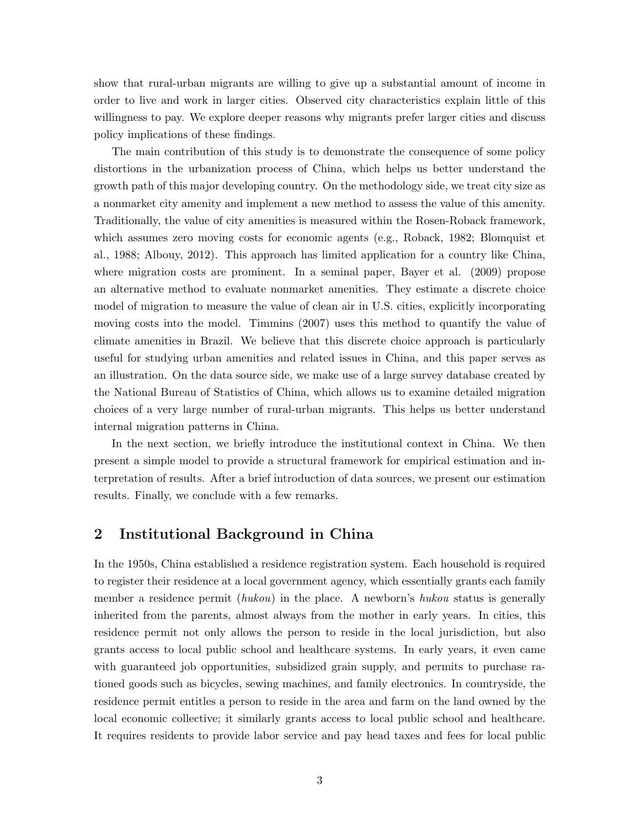show that rural-urban migrants are willing to give up a substantial amount of income in order to live and work in larger cities. Observed city characteristics explain little of this willingness to pay. We explore deeper reasons why migrants prefer larger cities and discuss policy implications of these findings.

The main contribution of this study is to demonstrate the consequence of some policy distortions in the urbanization process of China, which helps us better understand the growth path of this major developing country. On the methodology side, we treat city size as a nonmarket city amenity and implement a new method to assess the value of this amenity. Traditionally, the value of city amenities is measured within the Rosen-Roback framework, which assumes zero moving costs for economic agents (e.g., Roback, 1982; Blomquist et al., 1988; Albouy, 2012). This approach has limited application for a country like China, where migration costs are prominent. In a seminal paper, Bayer et al. (2009) propose an alternative method to evaluate nonmarket amenities. They estimate a discrete choice model of migration to measure the value of clean air in U.S. cities, explicitly incorporating moving costs into the model. Timmins (2007) uses this method to quantify the value of climate amenities in Brazil. We believe that this discrete choice approach is particularly useful for studying urban amenities and related issues in China, and this paper serves as an illustration. On the data source side, we make use of a large survey database created by the National Bureau of Statistics of China, which allows us to examine detailed migration choices of a very large number of rural-urban migrants. This helps us better understand internal migration patterns in China.

In the next section, we briefly introduce the institutional context in China. We then present a simple model to provide a structural framework for empirical estimation and interpretation of results. After a brief introduction of data sources, we present our estimation results. Finally, we conclude with a few remarks.

## 2 Institutional Background in China

In the 1950s, China established a residence registration system. Each household is required to register their residence at a local government agency, which essentially grants each family member a residence permit *(hukou)* in the place. A newborn's *hukou* status is generally inherited from the parents, almost always from the mother in early years. In cities, this residence permit not only allows the person to reside in the local jurisdiction, but also grants access to local public school and healthcare systems. In early years, it even came with guaranteed job opportunities, subsidized grain supply, and permits to purchase rationed goods such as bicycles, sewing machines, and family electronics. In countryside, the residence permit entitles a person to reside in the area and farm on the land owned by the local economic collective; it similarly grants access to local public school and healthcare. It requires residents to provide labor service and pay head taxes and fees for local public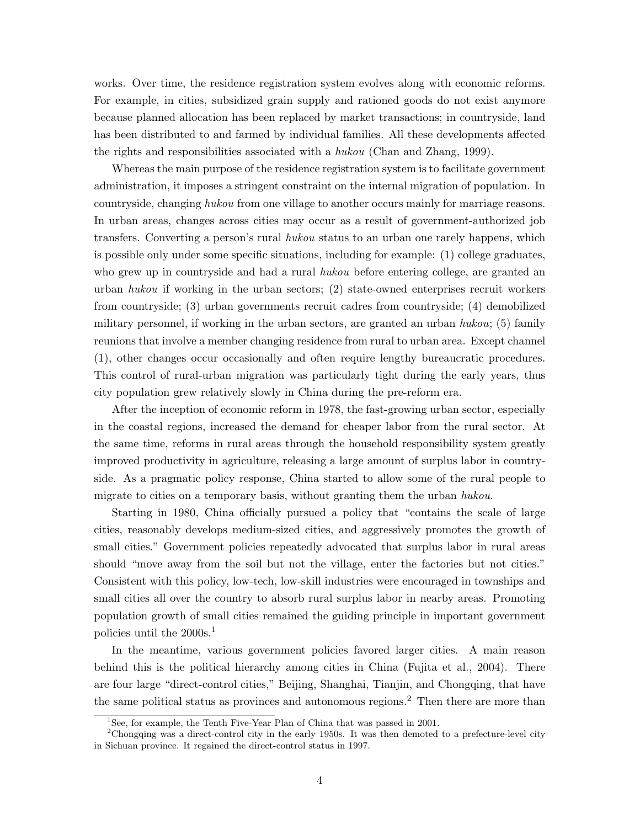works. Over time, the residence registration system evolves along with economic reforms. For example, in cities, subsidized grain supply and rationed goods do not exist anymore because planned allocation has been replaced by market transactions; in countryside, land has been distributed to and farmed by individual families. All these developments affected the rights and responsibilities associated with a hukou (Chan and Zhang, 1999).

Whereas the main purpose of the residence registration system is to facilitate government administration, it imposes a stringent constraint on the internal migration of population. In countryside, changing hukou from one village to another occurs mainly for marriage reasons. In urban areas, changes across cities may occur as a result of government-authorized job transfers. Converting a person's rural hukou status to an urban one rarely happens, which is possible only under some specific situations, including for example: (1) college graduates, who grew up in countryside and had a rural *hukou* before entering college, are granted an urban hukou if working in the urban sectors;  $(2)$  state-owned enterprises recruit workers from countryside; (3) urban governments recruit cadres from countryside; (4) demobilized military personnel, if working in the urban sectors, are granted an urban  $hukou$ ; (5) family reunions that involve a member changing residence from rural to urban area. Except channel (1), other changes occur occasionally and often require lengthy bureaucratic procedures. This control of rural-urban migration was particularly tight during the early years, thus city population grew relatively slowly in China during the pre-reform era.

After the inception of economic reform in 1978, the fast-growing urban sector, especially in the coastal regions, increased the demand for cheaper labor from the rural sector. At the same time, reforms in rural areas through the household responsibility system greatly improved productivity in agriculture, releasing a large amount of surplus labor in countryside. As a pragmatic policy response, China started to allow some of the rural people to migrate to cities on a temporary basis, without granting them the urban hukou.

Starting in 1980, China officially pursued a policy that "contains the scale of large cities, reasonably develops medium-sized cities, and aggressively promotes the growth of small cities." Government policies repeatedly advocated that surplus labor in rural areas should "move away from the soil but not the village, enter the factories but not cities." Consistent with this policy, low-tech, low-skill industries were encouraged in townships and small cities all over the country to absorb rural surplus labor in nearby areas. Promoting population growth of small cities remained the guiding principle in important government policies until the 2000s.<sup>1</sup>

In the meantime, various government policies favored larger cities. A main reason behind this is the political hierarchy among cities in China (Fujita et al., 2004). There are four large "direct-control cities," Beijing, Shanghai, Tianjin, and Chongqing, that have the same political status as provinces and autonomous regions.<sup>2</sup> Then there are more than

<sup>&</sup>lt;sup>1</sup>See, for example, the Tenth Five-Year Plan of China that was passed in 2001.

<sup>&</sup>lt;sup>2</sup>Chongqing was a direct-control city in the early 1950s. It was then demoted to a prefecture-level city in Sichuan province. It regained the direct-control status in 1997.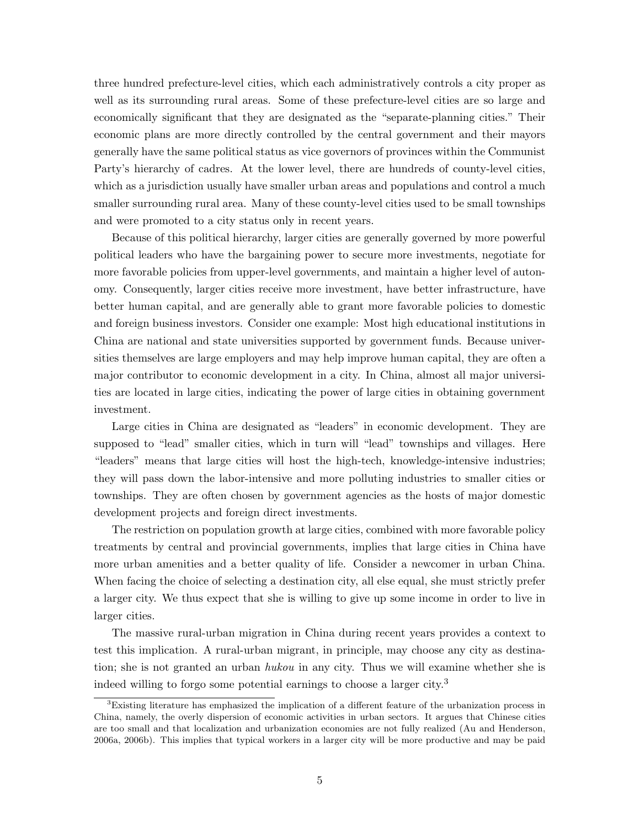three hundred prefecture-level cities, which each administratively controls a city proper as well as its surrounding rural areas. Some of these prefecture-level cities are so large and economically significant that they are designated as the "separate-planning cities." Their economic plans are more directly controlled by the central government and their mayors generally have the same political status as vice governors of provinces within the Communist Party's hierarchy of cadres. At the lower level, there are hundreds of county-level cities, which as a jurisdiction usually have smaller urban areas and populations and control a much smaller surrounding rural area. Many of these county-level cities used to be small townships and were promoted to a city status only in recent years.

Because of this political hierarchy, larger cities are generally governed by more powerful political leaders who have the bargaining power to secure more investments, negotiate for more favorable policies from upper-level governments, and maintain a higher level of autonomy. Consequently, larger cities receive more investment, have better infrastructure, have better human capital, and are generally able to grant more favorable policies to domestic and foreign business investors. Consider one example: Most high educational institutions in China are national and state universities supported by government funds. Because universities themselves are large employers and may help improve human capital, they are often a major contributor to economic development in a city. In China, almost all major universities are located in large cities, indicating the power of large cities in obtaining government investment.

Large cities in China are designated as "leaders" in economic development. They are supposed to "lead" smaller cities, which in turn will "lead" townships and villages. Here "leaders" means that large cities will host the high-tech, knowledge-intensive industries; they will pass down the labor-intensive and more polluting industries to smaller cities or townships. They are often chosen by government agencies as the hosts of major domestic development projects and foreign direct investments.

The restriction on population growth at large cities, combined with more favorable policy treatments by central and provincial governments, implies that large cities in China have more urban amenities and a better quality of life. Consider a newcomer in urban China. When facing the choice of selecting a destination city, all else equal, she must strictly prefer a larger city. We thus expect that she is willing to give up some income in order to live in larger cities.

The massive rural-urban migration in China during recent years provides a context to test this implication. A rural-urban migrant, in principle, may choose any city as destination; she is not granted an urban *hukou* in any city. Thus we will examine whether she is indeed willing to forgo some potential earnings to choose a larger city.<sup>3</sup>

<sup>3</sup>Existing literature has emphasized the implication of a different feature of the urbanization process in China, namely, the overly dispersion of economic activities in urban sectors. It argues that Chinese cities are too small and that localization and urbanization economies are not fully realized (Au and Henderson, 2006a, 2006b). This implies that typical workers in a larger city will be more productive and may be paid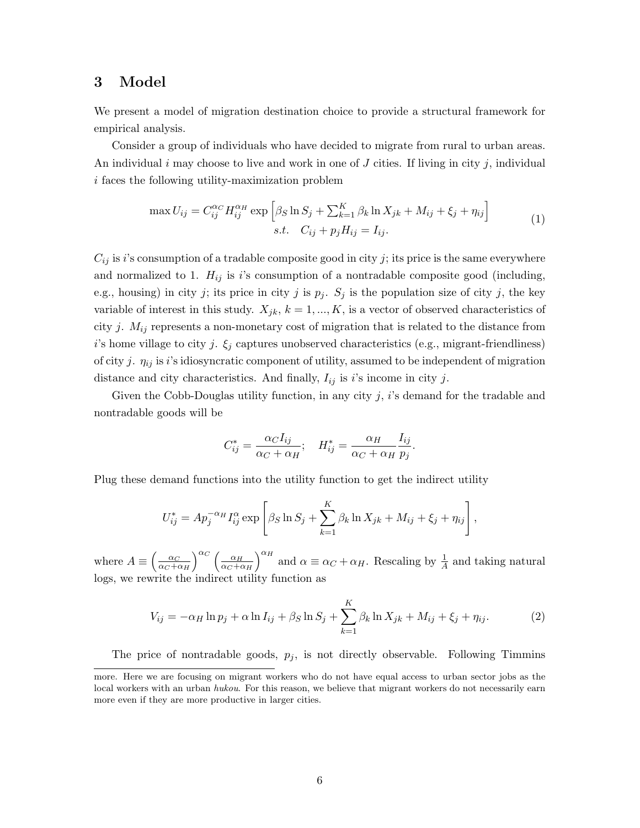# 3 Model

We present a model of migration destination choice to provide a structural framework for empirical analysis.

Consider a group of individuals who have decided to migrate from rural to urban areas. An individual i may choose to live and work in one of  $J$  cities. If living in city  $j$ , individual i faces the following utility-maximization problem

$$
\max U_{ij} = C_{ij}^{\alpha_C} H_{ij}^{\alpha_H} \exp \left[ \beta_S \ln S_j + \sum_{k=1}^K \beta_k \ln X_{jk} + M_{ij} + \xi_j + \eta_{ij} \right]
$$
  
s.t.  $C_{ij} + p_j H_{ij} = I_{ij}.$  (1)

 $C_{ij}$  is *i*'s consumption of a tradable composite good in city *j*; its price is the same everywhere and normalized to 1.  $H_{ij}$  is i's consumption of a nontradable composite good (including, e.g., housing) in city j; its price in city j is  $p_j$ .  $S_j$  is the population size of city j, the key variable of interest in this study.  $X_{jk}$ ,  $k = 1, ..., K$ , is a vector of observed characteristics of city j.  $M_{ij}$  represents a non-monetary cost of migration that is related to the distance from i's home village to city j.  $\xi_j$  captures unobserved characteristics (e.g., migrant-friendliness) of city j.  $\eta_{ij}$  is i's idiosyncratic component of utility, assumed to be independent of migration distance and city characteristics. And finally,  $I_{ij}$  is i's income in city j.

Given the Cobb-Douglas utility function, in any city  $j$ ,  $i$ 's demand for the tradable and nontradable goods will be

$$
C_{ij}^* = \frac{\alpha_C I_{ij}}{\alpha_C + \alpha_H}; \quad H_{ij}^* = \frac{\alpha_H}{\alpha_C + \alpha_H} \frac{I_{ij}}{p_j}.
$$

Plug these demand functions into the utility function to get the indirect utility

$$
U_{ij}^* = Ap_j^{-\alpha_H} I_{ij}^{\alpha} \exp \left[ \beta_S \ln S_j + \sum_{k=1}^K \beta_k \ln X_{jk} + M_{ij} + \xi_j + \eta_{ij} \right],
$$

where  $A \equiv \left(\frac{\alpha_C}{\alpha \alpha + \beta}\right)$  $\alpha_C + \alpha_H$  $\int^{\alpha_C} \int_{-\alpha_H}$  $\alpha_C + \alpha_H$  $\int^{\alpha_H}$  and  $\alpha \equiv \alpha_C + \alpha_H$ . Rescaling by  $\frac{1}{A}$  and taking natural logs, we rewrite the indirect utility function as

$$
V_{ij} = -\alpha_H \ln p_j + \alpha \ln I_{ij} + \beta_S \ln S_j + \sum_{k=1}^K \beta_k \ln X_{jk} + M_{ij} + \xi_j + \eta_{ij}.
$$
 (2)

The price of nontradable goods,  $p_j$ , is not directly observable. Following Timmins

more. Here we are focusing on migrant workers who do not have equal access to urban sector jobs as the local workers with an urban hukou. For this reason, we believe that migrant workers do not necessarily earn more even if they are more productive in larger cities.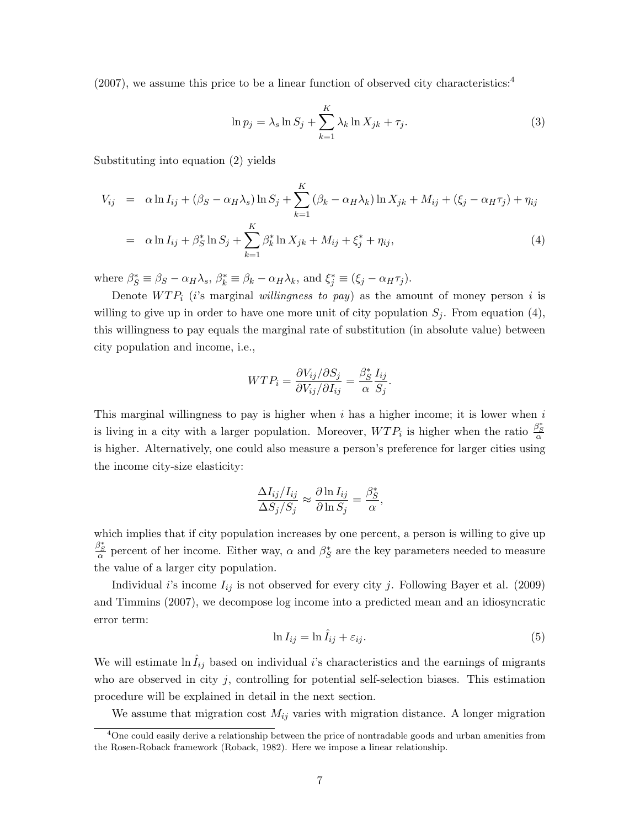$(2007)$ , we assume this price to be a linear function of observed city characteristics:<sup>4</sup>

$$
\ln p_j = \lambda_s \ln S_j + \sum_{k=1}^K \lambda_k \ln X_{jk} + \tau_j.
$$
\n(3)

Substituting into equation (2) yields

$$
V_{ij} = \alpha \ln I_{ij} + (\beta_S - \alpha_H \lambda_s) \ln S_j + \sum_{k=1}^{K} (\beta_k - \alpha_H \lambda_k) \ln X_{jk} + M_{ij} + (\xi_j - \alpha_H \tau_j) + \eta_{ij}
$$
  

$$
= \alpha \ln I_{ij} + \beta_S^* \ln S_j + \sum_{k=1}^{K} \beta_k^* \ln X_{jk} + M_{ij} + \xi_j^* + \eta_{ij}, \tag{4}
$$

where  $\beta_S^* \equiv \beta_S - \alpha_H \lambda_s$ ,  $\beta_k^* \equiv \beta_k - \alpha_H \lambda_k$ , and  $\xi_j^* \equiv (\xi_j - \alpha_H \tau_j)$ .

Denote  $WTP_i$  (i's marginal willingness to pay) as the amount of money person i is willing to give up in order to have one more unit of city population  $S_j$ . From equation (4), this willingness to pay equals the marginal rate of substitution (in absolute value) between city population and income, i.e.,

$$
WTP_i = \frac{\partial V_{ij}/\partial S_j}{\partial V_{ij}/\partial I_{ij}} = \frac{\beta_S^*}{\alpha} \frac{I_{ij}}{S_j}.
$$

This marginal willingness to pay is higher when  $i$  has a higher income; it is lower when  $i$ is living in a city with a larger population. Moreover,  $WTP_i$  is higher when the ratio  $\frac{\beta_S^*}{\alpha}$ is higher. Alternatively, one could also measure a person's preference for larger cities using the income city-size elasticity:

$$
\frac{\Delta I_{ij}/I_{ij}}{\Delta S_j/S_j} \approx \frac{\partial \ln I_{ij}}{\partial \ln S_j} = \frac{\beta_S^*}{\alpha},
$$

which implies that if city population increases by one percent, a person is willing to give up  $\frac{\beta_S^*}{\alpha}$  percent of her income. Either way,  $\alpha$  and  $\beta_S^*$  are the key parameters needed to measure the value of a larger city population.

Individual i's income  $I_{ij}$  is not observed for every city j. Following Bayer et al. (2009) and Timmins (2007), we decompose log income into a predicted mean and an idiosyncratic error term:

$$
\ln I_{ij} = \ln \hat{I}_{ij} + \varepsilon_{ij}.
$$
\n(5)

We will estimate  $\ln \tilde{I}_{ij}$  based on individual i's characteristics and the earnings of migrants who are observed in city j, controlling for potential self-selection biases. This estimation procedure will be explained in detail in the next section.

We assume that migration cost  $M_{ij}$  varies with migration distance. A longer migration

 $4$ One could easily derive a relationship between the price of nontradable goods and urban amenities from the Rosen-Roback framework (Roback, 1982). Here we impose a linear relationship.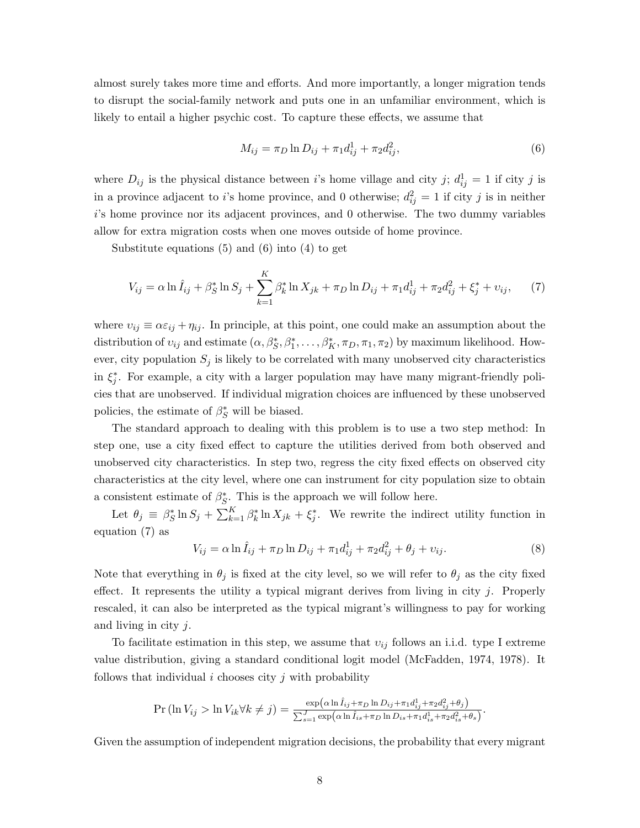almost surely takes more time and efforts. And more importantly, a longer migration tends to disrupt the social-family network and puts one in an unfamiliar environment, which is likely to entail a higher psychic cost. To capture these effects, we assume that

$$
M_{ij} = \pi_D \ln D_{ij} + \pi_1 d_{ij}^1 + \pi_2 d_{ij}^2, \tag{6}
$$

where  $D_{ij}$  is the physical distance between *i*'s home village and city *j*;  $d_{ij}^1 = 1$  if city *j* is in a province adjacent to i's home province, and 0 otherwise;  $d_{ij}^2 = 1$  if city j is in neither i's home province nor its adjacent provinces, and 0 otherwise. The two dummy variables allow for extra migration costs when one moves outside of home province.

Substitute equations (5) and (6) into (4) to get

$$
V_{ij} = \alpha \ln \hat{I}_{ij} + \beta_S^* \ln S_j + \sum_{k=1}^K \beta_k^* \ln X_{jk} + \pi_D \ln D_{ij} + \pi_1 d_{ij}^1 + \pi_2 d_{ij}^2 + \xi_j^* + \nu_{ij},\tag{7}
$$

where  $v_{ij} \equiv \alpha \varepsilon_{ij} + \eta_{ij}$ . In principle, at this point, one could make an assumption about the distribution of  $v_{ij}$  and estimate  $(\alpha, \beta_S^*, \beta_1^*, \dots, \beta_K^*, \pi_D, \pi_1, \pi_2)$  by maximum likelihood. However, city population  $S_j$  is likely to be correlated with many unobserved city characteristics in  $\xi_j^*$ . For example, a city with a larger population may have many migrant-friendly policies that are unobserved. If individual migration choices are influenced by these unobserved policies, the estimate of  $\beta_S^*$  will be biased.

The standard approach to dealing with this problem is to use a two step method: In step one, use a city fixed effect to capture the utilities derived from both observed and unobserved city characteristics. In step two, regress the city fixed effects on observed city characteristics at the city level, where one can instrument for city population size to obtain a consistent estimate of  $\beta_S^*$ . This is the approach we will follow here.

Let  $\theta_j \equiv \beta_S^* \ln S_j + \sum_{k=1}^K \beta_k^* \ln X_{jk} + \xi_j^*$ . We rewrite the indirect utility function in equation (7) as

$$
V_{ij} = \alpha \ln \hat{I}_{ij} + \pi_D \ln D_{ij} + \pi_1 d_{ij}^1 + \pi_2 d_{ij}^2 + \theta_j + \nu_{ij}.
$$
 (8)

Note that everything in  $\theta_i$  is fixed at the city level, so we will refer to  $\theta_i$  as the city fixed effect. It represents the utility a typical migrant derives from living in city  $j$ . Properly rescaled, it can also be interpreted as the typical migrant's willingness to pay for working and living in city  $j$ .

To facilitate estimation in this step, we assume that  $v_{ij}$  follows an i.i.d. type I extreme value distribution, giving a standard conditional logit model (McFadden, 1974, 1978). It follows that individual  $i$  chooses city  $j$  with probability

$$
\Pr(\ln V_{ij} > \ln V_{ik} \forall k \neq j) = \frac{\exp(\alpha \ln \hat{I}_{ij} + \pi_D \ln D_{ij} + \pi_1 d_{ij}^1 + \pi_2 d_{ij}^2 + \theta_j)}{\sum_{s=1}^J \exp(\alpha \ln \hat{I}_{is} + \pi_D \ln D_{is} + \pi_1 d_{is}^1 + \pi_2 d_{is}^2 + \theta_s)}.
$$

Given the assumption of independent migration decisions, the probability that every migrant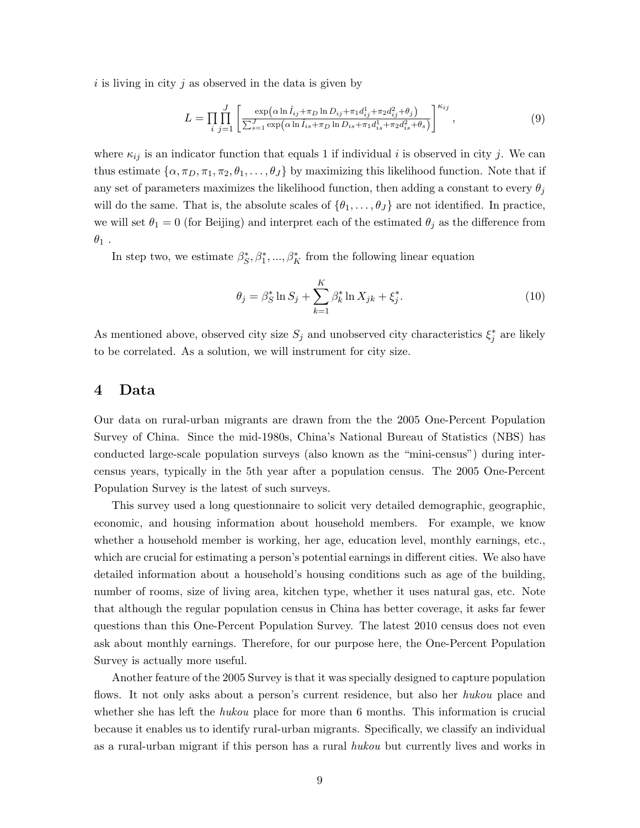$i$  is living in city  $j$  as observed in the data is given by

$$
L = \prod_{i} \prod_{j=1}^{J} \left[ \frac{\exp(\alpha \ln \hat{I}_{ij} + \pi_D \ln D_{ij} + \pi_1 d_{ij}^1 + \pi_2 d_{ij}^2 + \theta_j)}{\sum_{s=1}^{J} \exp(\alpha \ln \hat{I}_{is} + \pi_D \ln D_{is} + \pi_1 d_{is}^1 + \pi_2 d_{is}^2 + \theta_s)} \right]^{\kappa_{ij}},
$$
(9)

where  $\kappa_{ij}$  is an indicator function that equals 1 if individual i is observed in city j. We can thus estimate  $\{\alpha, \pi_D, \pi_1, \pi_2, \theta_1, \dots, \theta_J\}$  by maximizing this likelihood function. Note that if any set of parameters maximizes the likelihood function, then adding a constant to every  $\theta_i$ will do the same. That is, the absolute scales of  $\{\theta_1, \ldots, \theta_J\}$  are not identified. In practice, we will set  $\theta_1 = 0$  (for Beijing) and interpret each of the estimated  $\theta_j$  as the difference from  $\theta_1$  .

In step two, we estimate  $\beta_S^*, \beta_1^*, ..., \beta_K^*$  from the following linear equation

$$
\theta_j = \beta_S^* \ln S_j + \sum_{k=1}^K \beta_k^* \ln X_{jk} + \xi_j^*.
$$
 (10)

As mentioned above, observed city size  $S_j$  and unobserved city characteristics  $\xi_j^*$  are likely to be correlated. As a solution, we will instrument for city size.

## 4 Data

Our data on rural-urban migrants are drawn from the the 2005 One-Percent Population Survey of China. Since the mid-1980s, China's National Bureau of Statistics (NBS) has conducted large-scale population surveys (also known as the "mini-census") during intercensus years, typically in the 5th year after a population census. The 2005 One-Percent Population Survey is the latest of such surveys.

This survey used a long questionnaire to solicit very detailed demographic, geographic, economic, and housing information about household members. For example, we know whether a household member is working, her age, education level, monthly earnings, etc., which are crucial for estimating a person's potential earnings in different cities. We also have detailed information about a household's housing conditions such as age of the building, number of rooms, size of living area, kitchen type, whether it uses natural gas, etc. Note that although the regular population census in China has better coverage, it asks far fewer questions than this One-Percent Population Survey. The latest 2010 census does not even ask about monthly earnings. Therefore, for our purpose here, the One-Percent Population Survey is actually more useful.

Another feature of the 2005 Survey is that it was specially designed to capture population flows. It not only asks about a person's current residence, but also her *hukou* place and whether she has left the hukou place for more than 6 months. This information is crucial because it enables us to identify rural-urban migrants. Specifically, we classify an individual as a rural-urban migrant if this person has a rural *hukou* but currently lives and works in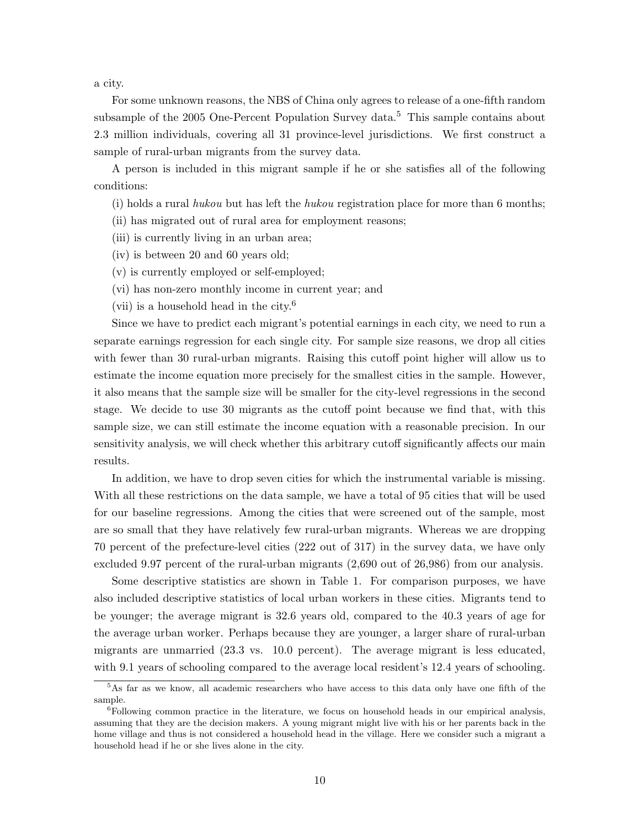a city.

For some unknown reasons, the NBS of China only agrees to release of a one-fifth random subsample of the 2005 One-Percent Population Survey data.<sup>5</sup> This sample contains about 2.3 million individuals, covering all 31 province-level jurisdictions. We first construct a sample of rural-urban migrants from the survey data.

A person is included in this migrant sample if he or she satisfies all of the following conditions:

- (i) holds a rural hukou but has left the hukou registration place for more than 6 months;
- (ii) has migrated out of rural area for employment reasons;
- (iii) is currently living in an urban area;
- (iv) is between 20 and 60 years old;
- (v) is currently employed or self-employed;
- (vi) has non-zero monthly income in current year; and
- (vii) is a household head in the city.<sup>6</sup>

Since we have to predict each migrant's potential earnings in each city, we need to run a separate earnings regression for each single city. For sample size reasons, we drop all cities with fewer than 30 rural-urban migrants. Raising this cutoff point higher will allow us to estimate the income equation more precisely for the smallest cities in the sample. However, it also means that the sample size will be smaller for the city-level regressions in the second stage. We decide to use 30 migrants as the cutoff point because we find that, with this sample size, we can still estimate the income equation with a reasonable precision. In our sensitivity analysis, we will check whether this arbitrary cutoff significantly affects our main results.

In addition, we have to drop seven cities for which the instrumental variable is missing. With all these restrictions on the data sample, we have a total of 95 cities that will be used for our baseline regressions. Among the cities that were screened out of the sample, most are so small that they have relatively few rural-urban migrants. Whereas we are dropping 70 percent of the prefecture-level cities (222 out of 317) in the survey data, we have only excluded 9.97 percent of the rural-urban migrants (2,690 out of 26,986) from our analysis.

Some descriptive statistics are shown in Table 1. For comparison purposes, we have also included descriptive statistics of local urban workers in these cities. Migrants tend to be younger; the average migrant is 32.6 years old, compared to the 40.3 years of age for the average urban worker. Perhaps because they are younger, a larger share of rural-urban migrants are unmarried (23.3 vs. 10.0 percent). The average migrant is less educated, with 9.1 years of schooling compared to the average local resident's 12.4 years of schooling.

<sup>5</sup>As far as we know, all academic researchers who have access to this data only have one fifth of the sample.

<sup>&</sup>lt;sup>6</sup>Following common practice in the literature, we focus on household heads in our empirical analysis, assuming that they are the decision makers. A young migrant might live with his or her parents back in the home village and thus is not considered a household head in the village. Here we consider such a migrant a household head if he or she lives alone in the city.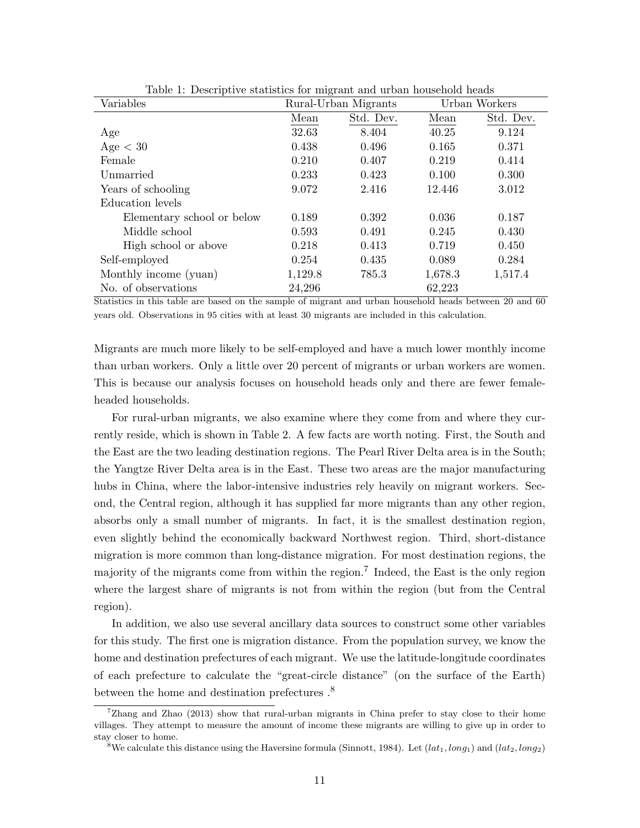| Taste 1: Descriptive statistics for impraint and about nousched neads<br>Variables |         | Rural-Urban Migrants | Urban Workers |           |  |
|------------------------------------------------------------------------------------|---------|----------------------|---------------|-----------|--|
|                                                                                    | Mean    | Std. Dev.            | Mean          | Std. Dev. |  |
| Age                                                                                | 32.63   | 8.404                | 40.25         | 9.124     |  |
| Age < 30                                                                           | 0.438   | 0.496                | 0.165         | 0.371     |  |
| Female                                                                             | 0.210   | 0.407                | 0.219         | 0.414     |  |
| Unmarried                                                                          | 0.233   | 0.423                | 0.100         | 0.300     |  |
| Years of schooling                                                                 | 9.072   | 2.416                | 12.446        | 3.012     |  |
| Education levels                                                                   |         |                      |               |           |  |
| Elementary school or below                                                         | 0.189   | 0.392                | 0.036         | 0.187     |  |
| Middle school                                                                      | 0.593   | 0.491                | 0.245         | 0.430     |  |
| High school or above                                                               | 0.218   | 0.413                | 0.719         | 0.450     |  |
| Self-employed                                                                      | 0.254   | 0.435                | 0.089         | 0.284     |  |
| Monthly income (yuan)                                                              | 1,129.8 | 785.3                | 1,678.3       | 1,517.4   |  |
| No. of observations                                                                | 24,296  |                      | 62,223        |           |  |

Table 1: Descriptive statistics for migrant and urban household heads

Statistics in this table are based on the sample of migrant and urban household heads between 20 and 60 years old. Observations in 95 cities with at least 30 migrants are included in this calculation.

Migrants are much more likely to be self-employed and have a much lower monthly income than urban workers. Only a little over 20 percent of migrants or urban workers are women. This is because our analysis focuses on household heads only and there are fewer femaleheaded households.

For rural-urban migrants, we also examine where they come from and where they currently reside, which is shown in Table 2. A few facts are worth noting. First, the South and the East are the two leading destination regions. The Pearl River Delta area is in the South; the Yangtze River Delta area is in the East. These two areas are the major manufacturing hubs in China, where the labor-intensive industries rely heavily on migrant workers. Second, the Central region, although it has supplied far more migrants than any other region, absorbs only a small number of migrants. In fact, it is the smallest destination region, even slightly behind the economically backward Northwest region. Third, short-distance migration is more common than long-distance migration. For most destination regions, the majority of the migrants come from within the region.<sup>7</sup> Indeed, the East is the only region where the largest share of migrants is not from within the region (but from the Central region).

In addition, we also use several ancillary data sources to construct some other variables for this study. The first one is migration distance. From the population survey, we know the home and destination prefectures of each migrant. We use the latitude-longitude coordinates of each prefecture to calculate the "great-circle distance" (on the surface of the Earth) between the home and destination prefectures .<sup>8</sup>

 $7Z$ hang and Zhao (2013) show that rural-urban migrants in China prefer to stay close to their home villages. They attempt to measure the amount of income these migrants are willing to give up in order to stay closer to home.

<sup>&</sup>lt;sup>8</sup>We calculate this distance using the Haversine formula (Sinnott, 1984). Let  $(lat_1, long_1)$  and  $(lat_2, long_2)$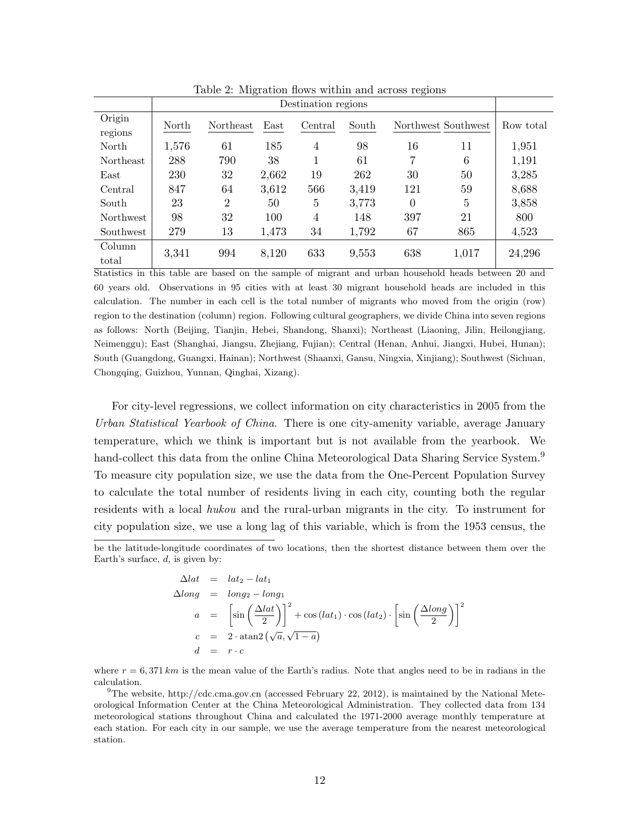|                  |       | $\check{ }$         |       |         |       | $\tilde{}$ |                     |           |
|------------------|-------|---------------------|-------|---------|-------|------------|---------------------|-----------|
|                  |       | Destination regions |       |         |       |            |                     |           |
| Origin           | North | Northeast           | East  | Central | South |            | Northwest Southwest | Row total |
| regions          |       |                     |       |         |       |            |                     |           |
| North            | 1,576 | 61                  | 185   | 4       | 98    | 16         | 11                  | 1,951     |
| <b>Northeast</b> | 288   | 790                 | 38    | 1       | 61    | 7          | 6                   | 1,191     |
| East             | 230   | 32                  | 2,662 | 19      | 262   | 30         | 50                  | 3,285     |
| Central          | 847   | 64                  | 3,612 | 566     | 3,419 | 121        | 59                  | 8,688     |
| South            | 23    | $\overline{2}$      | 50    | 5       | 3,773 | $\Omega$   | 5                   | 3,858     |
| <b>Northwest</b> | 98    | 32                  | 100   | 4       | 148   | 397        | 21                  | 800       |
| Southwest        | 279   | 13                  | 1,473 | 34      | 1,792 | 67         | 865                 | 4,523     |
| Column           | 3,341 | 994                 | 8,120 | 633     | 9,553 | 638        | 1,017               | 24,296    |
| total            |       |                     |       |         |       |            |                     |           |

Table 2: Migration flows within and across regions

Statistics in this table are based on the sample of migrant and urban household heads between 20 and 60 years old. Observations in 95 cities with at least 30 migrant household heads are included in this calculation. The number in each cell is the total number of migrants who moved from the origin (row) region to the destination (column) region. Following cultural geographers, we divide China into seven regions as follows: North (Beijing, Tianjin, Hebei, Shandong, Shanxi); Northeast (Liaoning, Jilin, Heilongjiang, Neimenggu); East (Shanghai, Jiangsu, Zhejiang, Fujian); Central (Henan, Anhui, Jiangxi, Hubei, Hunan); South (Guangdong, Guangxi, Hainan); Northwest (Shaanxi, Gansu, Ningxia, Xinjiang); Southwest (Sichuan, Chongqing, Guizhou, Yunnan, Qinghai, Xizang).

For city-level regressions, we collect information on city characteristics in 2005 from the Urban Statistical Yearbook of China. There is one city-amenity variable, average January temperature, which we think is important but is not available from the yearbook. We hand-collect this data from the online China Meteorological Data Sharing Service System.<sup>9</sup> To measure city population size, we use the data from the One-Percent Population Survey to calculate the total number of residents living in each city, counting both the regular residents with a local hukou and the rural-urban migrants in the city. To instrument for city population size, we use a long lag of this variable, which is from the 1953 census, the

$$
\Delta lat = lat_2 - lat_1
$$
  
\n
$$
\Delta long = long_2 - long_1
$$
  
\n
$$
a = \left[\sin\left(\frac{\Delta lat}{2}\right)\right]^2 + \cos(lat_1) \cdot \cos(lat_2) \cdot \left[\sin\left(\frac{\Delta long}{2}\right)\right]^2
$$
  
\n
$$
c = 2 \cdot \operatorname{atan2}\left(\sqrt{a}, \sqrt{1-a}\right)
$$
  
\n
$$
d = r \cdot c
$$

where  $r = 6,371 \, km$  is the mean value of the Earth's radius. Note that angles need to be in radians in the calculation.

 $^{9}$ The website, http://cdc.cma.gov.cn (accessed February 22, 2012), is maintained by the National Meteorological Information Center at the China Meteorological Administration. They collected data from 134 meteorological stations throughout China and calculated the 1971-2000 average monthly temperature at each station. For each city in our sample, we use the average temperature from the nearest meteorological station.

be the latitude-longitude coordinates of two locations, then the shortest distance between them over the Earth's surface,  $d$ , is given by: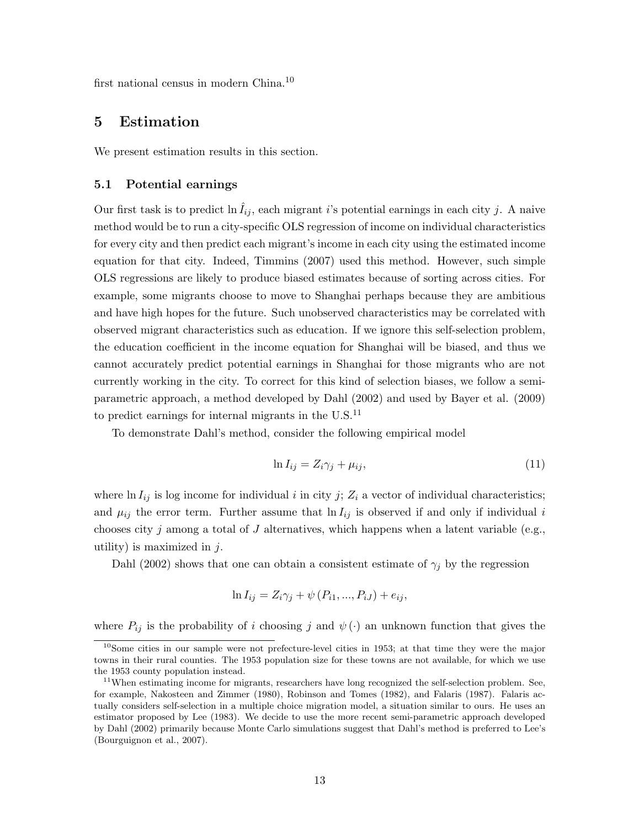first national census in modern China.<sup>10</sup>

## 5 Estimation

We present estimation results in this section.

#### 5.1 Potential earnings

Our first task is to predict  $\ln \tilde{I}_{ij}$ , each migrant i's potential earnings in each city j. A naive method would be to run a city-specific OLS regression of income on individual characteristics for every city and then predict each migrant's income in each city using the estimated income equation for that city. Indeed, Timmins (2007) used this method. However, such simple OLS regressions are likely to produce biased estimates because of sorting across cities. For example, some migrants choose to move to Shanghai perhaps because they are ambitious and have high hopes for the future. Such unobserved characteristics may be correlated with observed migrant characteristics such as education. If we ignore this self-selection problem, the education coefficient in the income equation for Shanghai will be biased, and thus we cannot accurately predict potential earnings in Shanghai for those migrants who are not currently working in the city. To correct for this kind of selection biases, we follow a semiparametric approach, a method developed by Dahl (2002) and used by Bayer et al. (2009) to predict earnings for internal migrants in the  $U.S.<sup>11</sup>$ 

To demonstrate Dahl's method, consider the following empirical model

$$
\ln I_{ij} = Z_i \gamma_j + \mu_{ij},\tag{11}
$$

where  $\ln I_{ij}$  is log income for individual i in city j;  $Z_i$  a vector of individual characteristics; and  $\mu_{ij}$  the error term. Further assume that  $\ln I_{ij}$  is observed if and only if individual i chooses city j among a total of J alternatives, which happens when a latent variable (e.g., utility) is maximized in  $j$ .

Dahl (2002) shows that one can obtain a consistent estimate of  $\gamma_i$  by the regression

$$
\ln I_{ij} = Z_i \gamma_j + \psi (P_{i1}, ..., P_{iJ}) + e_{ij},
$$

where  $P_{ij}$  is the probability of i choosing j and  $\psi(\cdot)$  an unknown function that gives the

<sup>&</sup>lt;sup>10</sup>Some cities in our sample were not prefecture-level cities in 1953; at that time they were the major towns in their rural counties. The 1953 population size for these towns are not available, for which we use the 1953 county population instead.

<sup>&</sup>lt;sup>11</sup>When estimating income for migrants, researchers have long recognized the self-selection problem. See, for example, Nakosteen and Zimmer (1980), Robinson and Tomes (1982), and Falaris (1987). Falaris actually considers self-selection in a multiple choice migration model, a situation similar to ours. He uses an estimator proposed by Lee (1983). We decide to use the more recent semi-parametric approach developed by Dahl (2002) primarily because Monte Carlo simulations suggest that Dahl's method is preferred to Lee's (Bourguignon et al., 2007).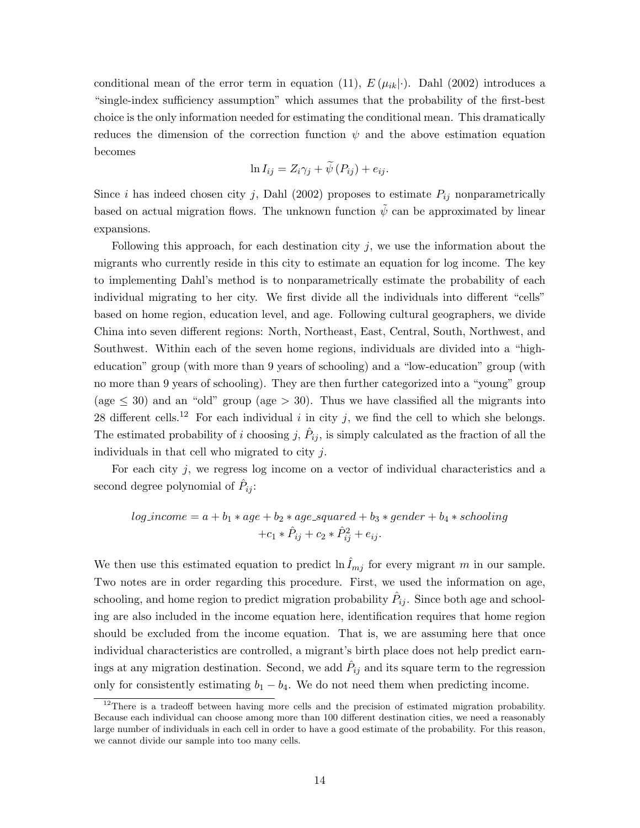conditional mean of the error term in equation (11),  $E(\mu_{ik}|\cdot)$ . Dahl (2002) introduces a "single-index sufficiency assumption" which assumes that the probability of the first-best choice is the only information needed for estimating the conditional mean. This dramatically reduces the dimension of the correction function  $\psi$  and the above estimation equation becomes

$$
\ln I_{ij} = Z_i \gamma_j + \widetilde{\psi}(P_{ij}) + e_{ij}.
$$

Since i has indeed chosen city j, Dahl (2002) proposes to estimate  $P_{ij}$  nonparametrically based on actual migration flows. The unknown function  $\psi$  can be approximated by linear expansions.

Following this approach, for each destination city  $j$ , we use the information about the migrants who currently reside in this city to estimate an equation for log income. The key to implementing Dahl's method is to nonparametrically estimate the probability of each individual migrating to her city. We first divide all the individuals into different "cells" based on home region, education level, and age. Following cultural geographers, we divide China into seven different regions: North, Northeast, East, Central, South, Northwest, and Southwest. Within each of the seven home regions, individuals are divided into a "higheducation" group (with more than 9 years of schooling) and a "low-education" group (with no more than 9 years of schooling). They are then further categorized into a "young" group (age  $\leq$  30) and an "old" group (age  $>$  30). Thus we have classified all the migrants into 28 different cells.<sup>12</sup> For each individual i in city j, we find the cell to which she belongs. The estimated probability of i choosing j,  $\hat{P}_{ij}$ , is simply calculated as the fraction of all the individuals in that cell who migrated to city j.

For each city j, we regress log income on a vector of individual characteristics and a second degree polynomial of  $\hat{P}_{ij}$ :

$$
log\_income = a + b_1 * age + b_2 * age\_squared + b_3 * gender + b_4 * schooling
$$

$$
+ c_1 * \hat{P}_{ij} + c_2 * \hat{P}_{ij}^2 + e_{ij}.
$$

We then use this estimated equation to predict  $\ln I_{mj}$  for every migrant m in our sample. Two notes are in order regarding this procedure. First, we used the information on age, schooling, and home region to predict migration probability  $\hat{P}_{ij}$ . Since both age and schooling are also included in the income equation here, identification requires that home region should be excluded from the income equation. That is, we are assuming here that once individual characteristics are controlled, a migrant's birth place does not help predict earnings at any migration destination. Second, we add  $\hat{P}_{ij}$  and its square term to the regression only for consistently estimating  $b_1 - b_4$ . We do not need them when predicting income.

 $12$ There is a tradeoff between having more cells and the precision of estimated migration probability. Because each individual can choose among more than 100 different destination cities, we need a reasonably large number of individuals in each cell in order to have a good estimate of the probability. For this reason, we cannot divide our sample into too many cells.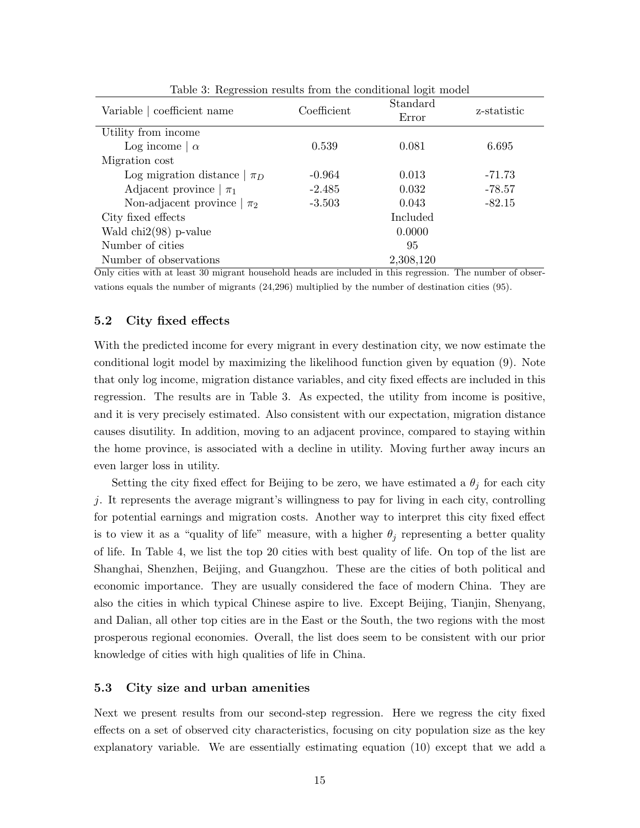| Variable   coefficient name    | Standard<br>Coefficient<br>Error |           | z-statistic |
|--------------------------------|----------------------------------|-----------|-------------|
| Utility from income            |                                  |           |             |
| Log income $\alpha$            | 0.539                            | 0.081     | 6.695       |
| Migration cost                 |                                  |           |             |
| Log migration distance $\pi_D$ | $-0.964$                         | 0.013     | -71.73      |
| Adjacent province $ \pi_1 $    | $-2.485$                         | 0.032     | $-78.57$    |
| Non-adjacent province $\pi_2$  | $-3.503$                         | 0.043     | $-82.15$    |
| City fixed effects             |                                  | Included  |             |
| Wald $\text{chi2}(98)$ p-value |                                  | 0.0000    |             |
| Number of cities               |                                  | 95        |             |
| Number of observations         |                                  | 2,308,120 |             |

Table 3: Regression results from the conditional logit model

Only cities with at least 30 migrant household heads are included in this regression. The number of observations equals the number of migrants (24,296) multiplied by the number of destination cities (95).

#### 5.2 City fixed effects

With the predicted income for every migrant in every destination city, we now estimate the conditional logit model by maximizing the likelihood function given by equation (9). Note that only log income, migration distance variables, and city fixed effects are included in this regression. The results are in Table 3. As expected, the utility from income is positive, and it is very precisely estimated. Also consistent with our expectation, migration distance causes disutility. In addition, moving to an adjacent province, compared to staying within the home province, is associated with a decline in utility. Moving further away incurs an even larger loss in utility.

Setting the city fixed effect for Beijing to be zero, we have estimated a  $\theta_j$  for each city j. It represents the average migrant's willingness to pay for living in each city, controlling for potential earnings and migration costs. Another way to interpret this city fixed effect is to view it as a "quality of life" measure, with a higher  $\theta_i$  representing a better quality of life. In Table 4, we list the top 20 cities with best quality of life. On top of the list are Shanghai, Shenzhen, Beijing, and Guangzhou. These are the cities of both political and economic importance. They are usually considered the face of modern China. They are also the cities in which typical Chinese aspire to live. Except Beijing, Tianjin, Shenyang, and Dalian, all other top cities are in the East or the South, the two regions with the most prosperous regional economies. Overall, the list does seem to be consistent with our prior knowledge of cities with high qualities of life in China.

#### 5.3 City size and urban amenities

Next we present results from our second-step regression. Here we regress the city fixed effects on a set of observed city characteristics, focusing on city population size as the key explanatory variable. We are essentially estimating equation (10) except that we add a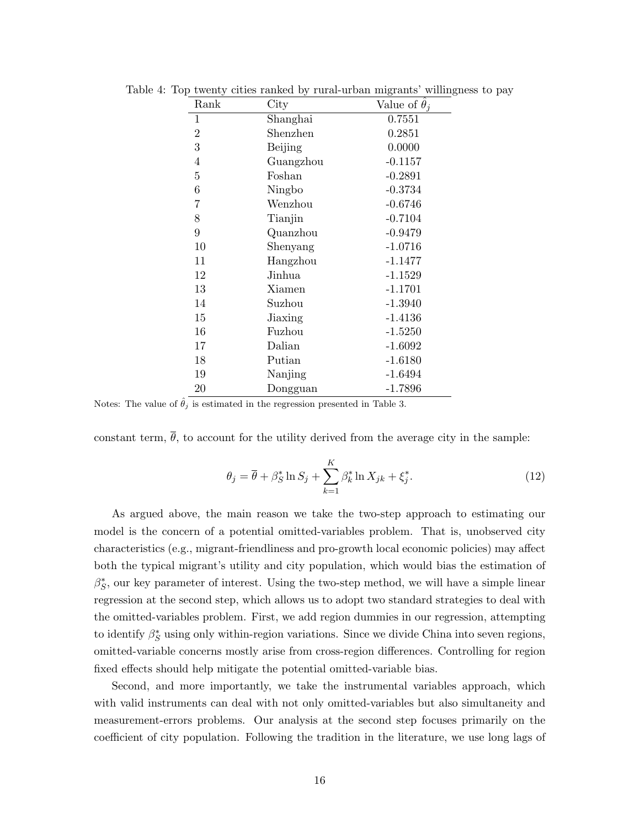| Rank           | City      | Value of $\theta_i$ |
|----------------|-----------|---------------------|
| 1              | Shanghai  | 0.7551              |
| $\overline{2}$ | Shenzhen  | 0.2851              |
| 3              | Beijing   | 0.0000              |
| $\overline{4}$ | Guangzhou | $-0.1157$           |
| $\overline{5}$ | Foshan    | $-0.2891$           |
| 6              | Ningbo    | $-0.3734$           |
| 7              | Wenzhou   | $-0.6746$           |
| 8              | Tianjin   | $-0.7104$           |
| 9              | Quanzhou  | $-0.9479$           |
| 10             | Shenyang  | $-1.0716$           |
| 11             | Hangzhou  | $-1.1477$           |
| 12             | Jinhua    | $-1.1529$           |
| 13             | Xiamen    | $-1.1701$           |
| 14             | Suzhou    | $-1.3940$           |
| 15             | Jiaxing   | $-1.4136$           |
| 16             | Fuzhou    | $-1.5250$           |
| 17             | Dalian    | $-1.6092$           |
| 18             | Putian    | $-1.6180$           |
| 19             | Nanjing   | $-1.6494$           |
| 20             | Dongguan  | $-1.7896$           |

Table 4: Top twenty cities ranked by rural-urban migrants' willingness to pay

Notes: The value of  $\hat{\theta}_j$  is estimated in the regression presented in Table 3.

constant term,  $\bar{\theta}$ , to account for the utility derived from the average city in the sample:

$$
\theta_j = \overline{\theta} + \beta_S^* \ln S_j + \sum_{k=1}^K \beta_k^* \ln X_{jk} + \xi_j^*.
$$
\n(12)

As argued above, the main reason we take the two-step approach to estimating our model is the concern of a potential omitted-variables problem. That is, unobserved city characteristics (e.g., migrant-friendliness and pro-growth local economic policies) may affect both the typical migrant's utility and city population, which would bias the estimation of  $\beta_S^*$ , our key parameter of interest. Using the two-step method, we will have a simple linear regression at the second step, which allows us to adopt two standard strategies to deal with the omitted-variables problem. First, we add region dummies in our regression, attempting to identify  $\beta_S^*$  using only within-region variations. Since we divide China into seven regions, omitted-variable concerns mostly arise from cross-region differences. Controlling for region fixed effects should help mitigate the potential omitted-variable bias.

Second, and more importantly, we take the instrumental variables approach, which with valid instruments can deal with not only omitted-variables but also simultaneity and measurement-errors problems. Our analysis at the second step focuses primarily on the coefficient of city population. Following the tradition in the literature, we use long lags of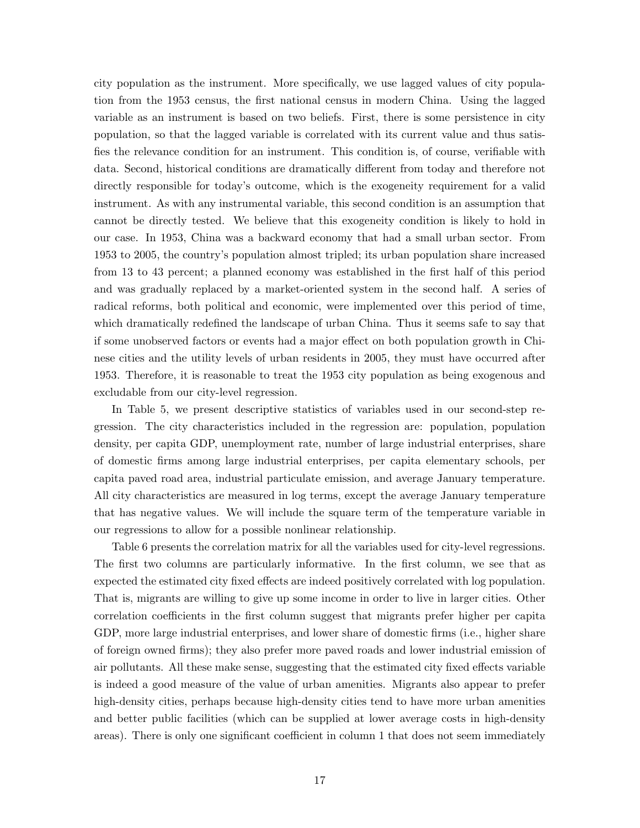city population as the instrument. More specifically, we use lagged values of city population from the 1953 census, the first national census in modern China. Using the lagged variable as an instrument is based on two beliefs. First, there is some persistence in city population, so that the lagged variable is correlated with its current value and thus satisfies the relevance condition for an instrument. This condition is, of course, verifiable with data. Second, historical conditions are dramatically different from today and therefore not directly responsible for today's outcome, which is the exogeneity requirement for a valid instrument. As with any instrumental variable, this second condition is an assumption that cannot be directly tested. We believe that this exogeneity condition is likely to hold in our case. In 1953, China was a backward economy that had a small urban sector. From 1953 to 2005, the country's population almost tripled; its urban population share increased from 13 to 43 percent; a planned economy was established in the first half of this period and was gradually replaced by a market-oriented system in the second half. A series of radical reforms, both political and economic, were implemented over this period of time, which dramatically redefined the landscape of urban China. Thus it seems safe to say that if some unobserved factors or events had a major effect on both population growth in Chinese cities and the utility levels of urban residents in 2005, they must have occurred after 1953. Therefore, it is reasonable to treat the 1953 city population as being exogenous and excludable from our city-level regression.

In Table 5, we present descriptive statistics of variables used in our second-step regression. The city characteristics included in the regression are: population, population density, per capita GDP, unemployment rate, number of large industrial enterprises, share of domestic firms among large industrial enterprises, per capita elementary schools, per capita paved road area, industrial particulate emission, and average January temperature. All city characteristics are measured in log terms, except the average January temperature that has negative values. We will include the square term of the temperature variable in our regressions to allow for a possible nonlinear relationship.

Table 6 presents the correlation matrix for all the variables used for city-level regressions. The first two columns are particularly informative. In the first column, we see that as expected the estimated city fixed effects are indeed positively correlated with log population. That is, migrants are willing to give up some income in order to live in larger cities. Other correlation coefficients in the first column suggest that migrants prefer higher per capita GDP, more large industrial enterprises, and lower share of domestic firms (i.e., higher share of foreign owned firms); they also prefer more paved roads and lower industrial emission of air pollutants. All these make sense, suggesting that the estimated city fixed effects variable is indeed a good measure of the value of urban amenities. Migrants also appear to prefer high-density cities, perhaps because high-density cities tend to have more urban amenities and better public facilities (which can be supplied at lower average costs in high-density areas). There is only one significant coefficient in column 1 that does not seem immediately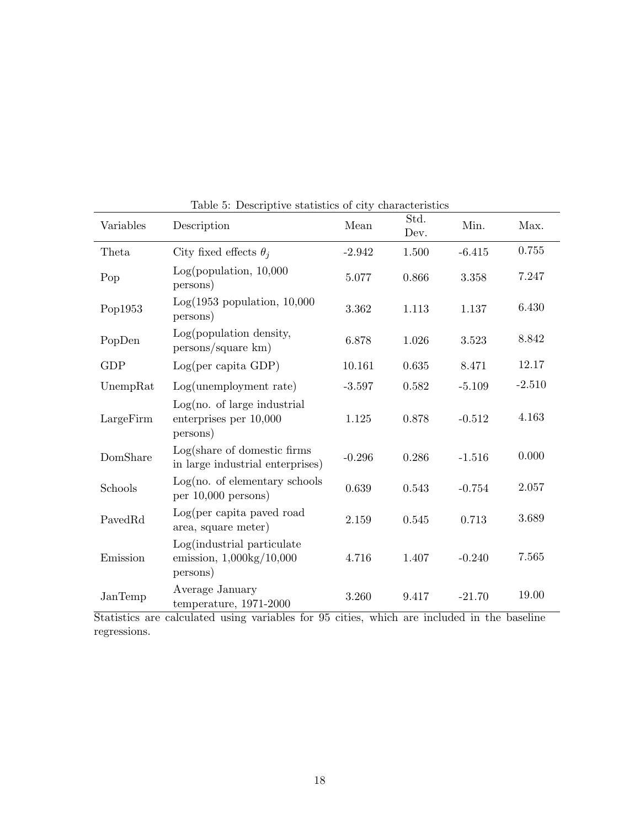| Variables  | Table 0. Descriptive statistics of city effacted istrated<br>Description    | Mean     | Std.<br>Dev. | Min.     | Max.     |
|------------|-----------------------------------------------------------------------------|----------|--------------|----------|----------|
| Theta      | City fixed effects $\theta_i$                                               | $-2.942$ | $1.500\,$    | $-6.415$ | 0.755    |
| Pop        | Log(population, 10,000)<br>persons)                                         | 5.077    | 0.866        | 3.358    | 7.247    |
| Pop1953    | $Log(1953$ population, $10,000$<br>persons)                                 | 3.362    | 1.113        | 1.137    | 6.430    |
| PopDen     | Log(population density,<br>persons/square km)                               | 6.878    | 1.026        | 3.523    | 8.842    |
| <b>GDP</b> | Log(per capita GDP)                                                         | 10.161   | 0.635        | 8.471    | 12.17    |
| UnempRat   | Log(unemptyment rate)                                                       | $-3.597$ | 0.582        | $-5.109$ | $-2.510$ |
| LargeFirm  | Log(no. of large industrial<br>enterprises per 10,000<br>persons)           | 1.125    | 0.878        | $-0.512$ | 4.163    |
| DomShare   | Log(share of domestic firms<br>in large industrial enterprises)             | $-0.296$ | 0.286        | $-1.516$ | 0.000    |
| Schools    | Log(no. of elementary schools<br>per $10,000$ persons)                      | 0.639    | 0.543        | $-0.754$ | 2.057    |
| PavedRd    | Log(per capita paved road<br>area, square meter)                            | 2.159    | 0.545        | 0.713    | 3.689    |
| Emission   | Log(industrial particulate<br>emission, $1,000\text{kg}/10,000$<br>persons) | 4.716    | 1.407        | $-0.240$ | 7.565    |
| JanTemp    | Average January<br>temperature, 1971-2000                                   | 3.260    | 9.417        | $-21.70$ | 19.00    |

Table 5: Descriptive statistics of city characteristics

Statistics are calculated using variables for 95 cities, which are included in the baseline regressions.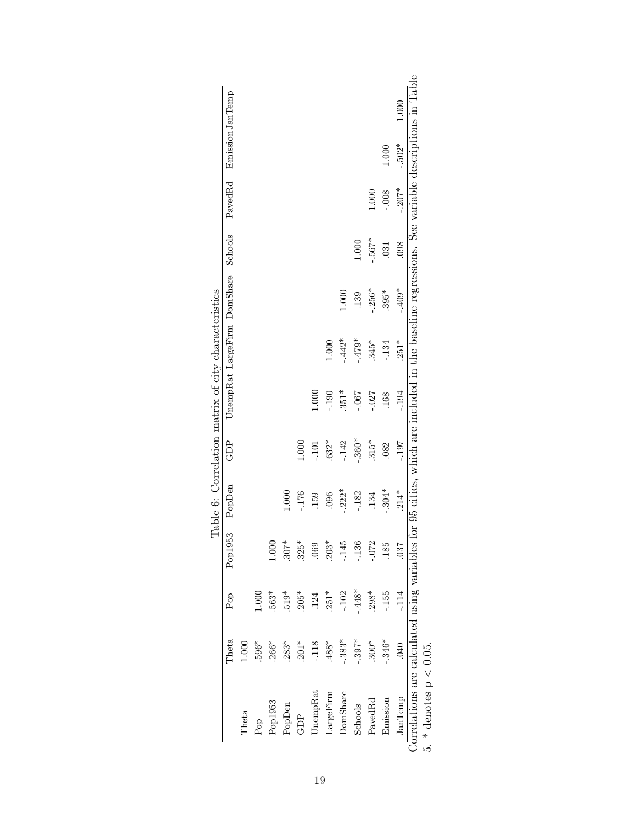|                                                                                                                                                                            |          |         |          |          |          | Table 6: Correlation matrix of city characteristics |          |                             |         |          |                   |       |
|----------------------------------------------------------------------------------------------------------------------------------------------------------------------------|----------|---------|----------|----------|----------|-----------------------------------------------------|----------|-----------------------------|---------|----------|-------------------|-------|
|                                                                                                                                                                            | Theta    | Pop     | Pop1953  | PopDen   | GDP      |                                                     |          | UnempRat LargeFirm DomShare | Schools | PavedRd  | Emission Jan Temp |       |
| $\rm{Theta}$                                                                                                                                                               | 1.000    |         |          |          |          |                                                     |          |                             |         |          |                   |       |
| Pop                                                                                                                                                                        | $.596*$  | 000.1   |          |          |          |                                                     |          |                             |         |          |                   |       |
| Pop1953                                                                                                                                                                    | .266*    | $.563*$ | 000.1    |          |          |                                                     |          |                             |         |          |                   |       |
| PopDen                                                                                                                                                                     | $.283*$  | $.519*$ | $.307*$  | 1.000    |          |                                                     |          |                             |         |          |                   |       |
| GDP                                                                                                                                                                        | $.201*$  | $.205*$ | $.325*$  | $-176$   | 1.000    |                                                     |          |                             |         |          |                   |       |
| UnempRat                                                                                                                                                                   | $-118$   | 124     | .069     | 159      | $-101$   | 1.000                                               |          |                             |         |          |                   |       |
| LargeFirm                                                                                                                                                                  | *884.    | $.251*$ | $.203*$  | .096     | $.632*$  | $-190$                                              | 1.000    |                             |         |          |                   |       |
| DomShare                                                                                                                                                                   | $-.383*$ | $-.102$ | $-145$   | $-222*$  | $-142$   | $351*$                                              | $-.442*$ | 1.000                       |         |          |                   |       |
| Schools                                                                                                                                                                    | $-397*$  | $-448*$ | $-136$   | $-182$   | $-.360*$ | $-0.06 -$                                           | $-479*$  | 139                         | 1.000   |          |                   |       |
| PavedRd                                                                                                                                                                    | $300*$   | $.298*$ | $-0.072$ | 134      | $315*$   | $-0.027$                                            | $.345*$  | $-.256*$                    | $-567*$ | 1.000    |                   |       |
| Emission                                                                                                                                                                   | $-.346*$ | $-155$  | .185     | $-.304*$ | .082     | .168                                                | $-134$   | $395*$                      | .031    | $-0.08$  | 1.000             |       |
| JanTemp                                                                                                                                                                    | 040      | $-114$  | .037     | $.214*$  | $-197$   | $-194$                                              | $.251*$  | $-.409*$                    | .098    | $-.207*$ | $-.502*$          | 1.000 |
| Correlations are calculated using variables for 95 cities, which are included in the baseline regressions. See variable descriptions in Table<br>5. * denotes $p < 0.05$ . |          |         |          |          |          |                                                     |          |                             |         |          |                   |       |
|                                                                                                                                                                            |          |         |          |          |          |                                                     |          |                             |         |          |                   |       |

| ひく・サリー・クーク りょくりょう  |  |
|--------------------|--|
| i<br>l             |  |
|                    |  |
| $\frac{1}{2}$<br>I |  |
| J                  |  |
| 5<br>ļ             |  |
| $\frac{c}{c}$<br>∍ |  |
| ĺ                  |  |

19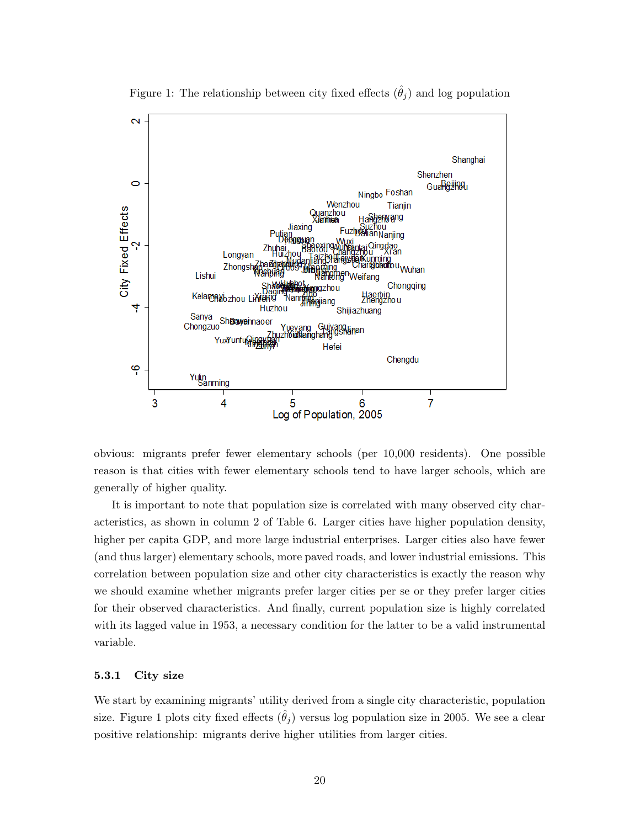

Figure 1: The relationship between city fixed effects  $(\hat{\theta}_i)$  and log population

obvious: migrants prefer fewer elementary schools (per 10,000 residents). One possible reason is that cities with fewer elementary schools tend to have larger schools, which are generally of higher quality.

It is important to note that population size is correlated with many observed city characteristics, as shown in column 2 of Table 6. Larger cities have higher population density, higher per capita GDP, and more large industrial enterprises. Larger cities also have fewer (and thus larger) elementary schools, more paved roads, and lower industrial emissions. This correlation between population size and other city characteristics is exactly the reason why we should examine whether migrants prefer larger cities per se or they prefer larger cities for their observed characteristics. And finally, current population size is highly correlated with its lagged value in 1953, a necessary condition for the latter to be a valid instrumental variable.

#### 5.3.1 City size

We start by examining migrants' utility derived from a single city characteristic, population size. Figure 1 plots city fixed effects  $(\theta_i)$  versus log population size in 2005. We see a clear positive relationship: migrants derive higher utilities from larger cities.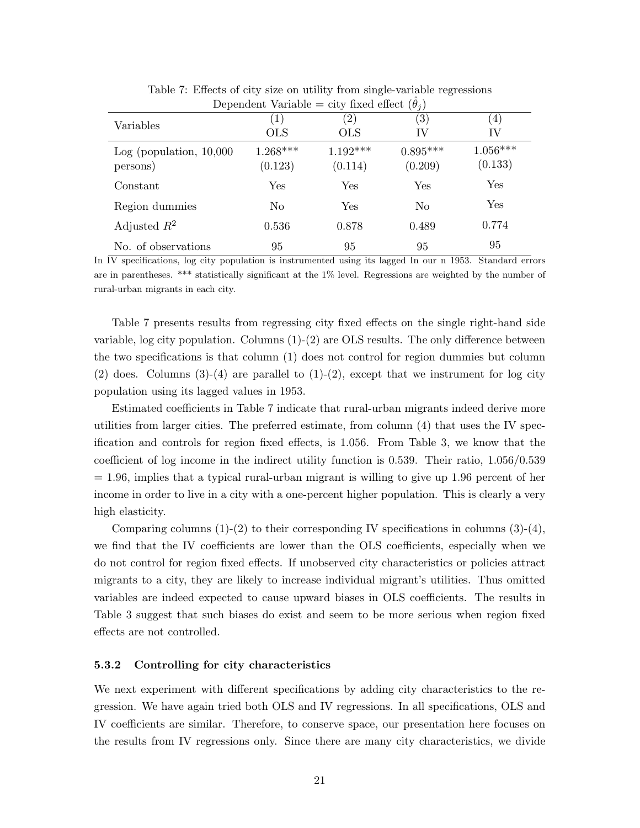| Dependent variable = city fixed effect $(\theta_i)$ |                                 |                          |                         |                        |  |  |  |
|-----------------------------------------------------|---------------------------------|--------------------------|-------------------------|------------------------|--|--|--|
| Variables                                           | $\left( 1\right)$<br><b>OLS</b> | $\left( 2\right)$<br>OLS | $\left( 3\right)$<br>IV | $\left(4\right)$<br>IV |  |  |  |
| Log (population, 10,000)<br>persons)                | $1.268***$<br>(0.123)           | $1.192***$<br>(0.114)    | $0.895***$<br>(0.209)   | $1.056***$<br>(0.133)  |  |  |  |
| Constant                                            | Yes                             | <b>Yes</b>               | <b>Yes</b>              | Yes                    |  |  |  |
| Region dummies                                      | N <sub>0</sub>                  | Yes                      | No                      | Yes                    |  |  |  |
| Adjusted $R^2$                                      | 0.536                           | 0.878                    | 0.489                   | 0.774                  |  |  |  |
| No. of observations                                 | 95                              | 95                       | 95                      | 95                     |  |  |  |

Table 7: Effects of city size on utility from single-variable regressions Dependent Variable  $=$  city fixed effect  $(\hat{\theta})$ 

In  $\overline{IV}$  specifications, log city population is instrumented using its lagged In our n 1953. Standard errors are in parentheses. \*\*\* statistically significant at the 1% level. Regressions are weighted by the number of rural-urban migrants in each city.

Table 7 presents results from regressing city fixed effects on the single right-hand side variable, log city population. Columns (1)-(2) are OLS results. The only difference between the two specifications is that column (1) does not control for region dummies but column (2) does. Columns  $(3)-(4)$  are parallel to  $(1)-(2)$ , except that we instrument for log city population using its lagged values in 1953.

Estimated coefficients in Table 7 indicate that rural-urban migrants indeed derive more utilities from larger cities. The preferred estimate, from column (4) that uses the IV specification and controls for region fixed effects, is 1.056. From Table 3, we know that the coefficient of log income in the indirect utility function is 0.539. Their ratio, 1.056/0.539  $= 1.96$ , implies that a typical rural-urban migrant is willing to give up 1.96 percent of her income in order to live in a city with a one-percent higher population. This is clearly a very high elasticity.

Comparing columns  $(1)-(2)$  to their corresponding IV specifications in columns  $(3)-(4)$ , we find that the IV coefficients are lower than the OLS coefficients, especially when we do not control for region fixed effects. If unobserved city characteristics or policies attract migrants to a city, they are likely to increase individual migrant's utilities. Thus omitted variables are indeed expected to cause upward biases in OLS coefficients. The results in Table 3 suggest that such biases do exist and seem to be more serious when region fixed effects are not controlled.

#### 5.3.2 Controlling for city characteristics

We next experiment with different specifications by adding city characteristics to the regression. We have again tried both OLS and IV regressions. In all specifications, OLS and IV coefficients are similar. Therefore, to conserve space, our presentation here focuses on the results from IV regressions only. Since there are many city characteristics, we divide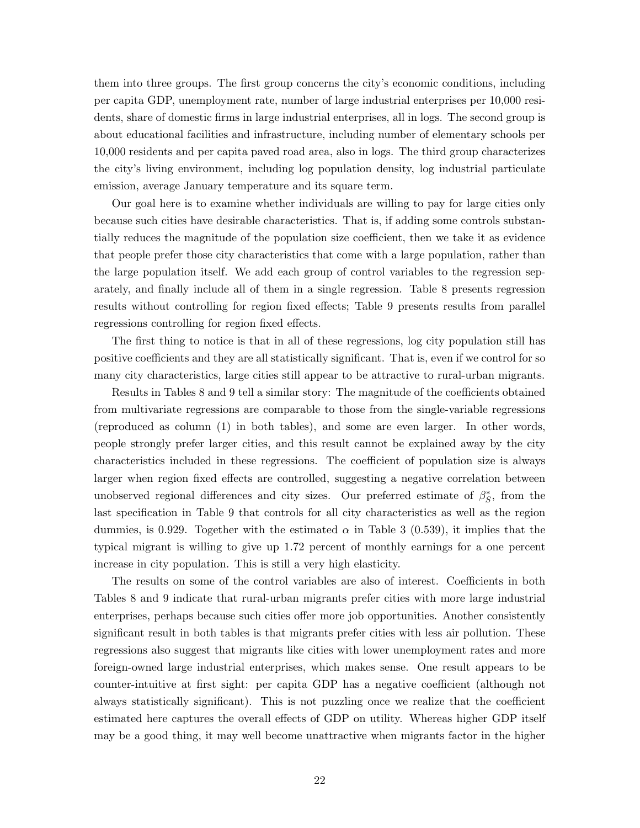them into three groups. The first group concerns the city's economic conditions, including per capita GDP, unemployment rate, number of large industrial enterprises per 10,000 residents, share of domestic firms in large industrial enterprises, all in logs. The second group is about educational facilities and infrastructure, including number of elementary schools per 10,000 residents and per capita paved road area, also in logs. The third group characterizes the city's living environment, including log population density, log industrial particulate emission, average January temperature and its square term.

Our goal here is to examine whether individuals are willing to pay for large cities only because such cities have desirable characteristics. That is, if adding some controls substantially reduces the magnitude of the population size coefficient, then we take it as evidence that people prefer those city characteristics that come with a large population, rather than the large population itself. We add each group of control variables to the regression separately, and finally include all of them in a single regression. Table 8 presents regression results without controlling for region fixed effects; Table 9 presents results from parallel regressions controlling for region fixed effects.

The first thing to notice is that in all of these regressions, log city population still has positive coefficients and they are all statistically significant. That is, even if we control for so many city characteristics, large cities still appear to be attractive to rural-urban migrants.

Results in Tables 8 and 9 tell a similar story: The magnitude of the coefficients obtained from multivariate regressions are comparable to those from the single-variable regressions (reproduced as column (1) in both tables), and some are even larger. In other words, people strongly prefer larger cities, and this result cannot be explained away by the city characteristics included in these regressions. The coefficient of population size is always larger when region fixed effects are controlled, suggesting a negative correlation between unobserved regional differences and city sizes. Our preferred estimate of  $\beta_S^*$ , from the last specification in Table 9 that controls for all city characteristics as well as the region dummies, is 0.929. Together with the estimated  $\alpha$  in Table 3 (0.539), it implies that the typical migrant is willing to give up 1.72 percent of monthly earnings for a one percent increase in city population. This is still a very high elasticity.

The results on some of the control variables are also of interest. Coefficients in both Tables 8 and 9 indicate that rural-urban migrants prefer cities with more large industrial enterprises, perhaps because such cities offer more job opportunities. Another consistently significant result in both tables is that migrants prefer cities with less air pollution. These regressions also suggest that migrants like cities with lower unemployment rates and more foreign-owned large industrial enterprises, which makes sense. One result appears to be counter-intuitive at first sight: per capita GDP has a negative coefficient (although not always statistically significant). This is not puzzling once we realize that the coefficient estimated here captures the overall effects of GDP on utility. Whereas higher GDP itself may be a good thing, it may well become unattractive when migrants factor in the higher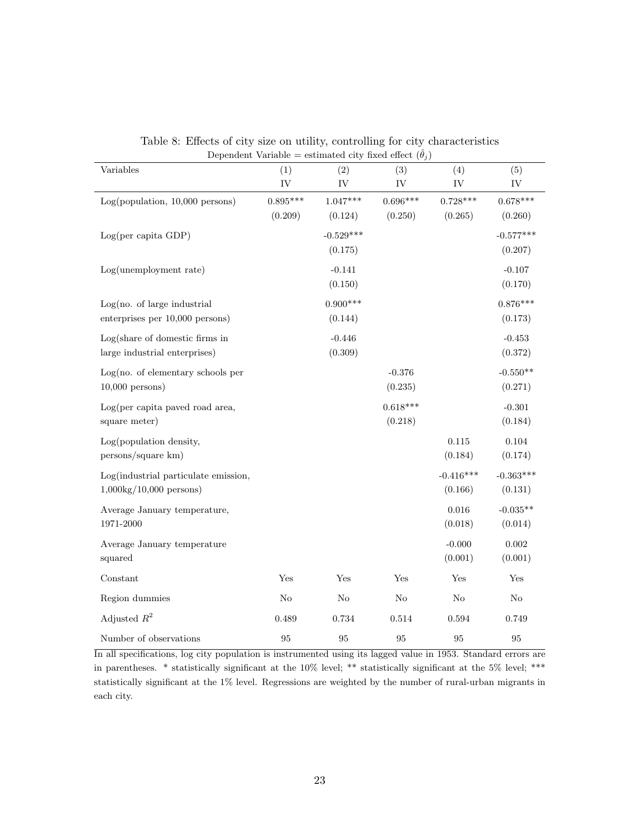| реренаены тагнарге<br>Variables                                          | (1)                   | $\omega$ commuted $\omega$ , $\omega$ medical energy<br>(2) | (3)                   | (4)                    | (5)                    |
|--------------------------------------------------------------------------|-----------------------|-------------------------------------------------------------|-----------------------|------------------------|------------------------|
|                                                                          | IV                    | IV                                                          | IV                    | IV                     | ${\rm IV}$             |
| Log(population, 10,000 persons)                                          | $0.895***$<br>(0.209) | $1.047***$<br>(0.124)                                       | $0.696***$<br>(0.250) | $0.728***$<br>(0.265)  | $0.678***$<br>(0.260)  |
| Log(per capita GDP)                                                      |                       | $-0.529***$<br>(0.175)                                      |                       |                        | $-0.577***$<br>(0.207) |
| Log(unemployment rate)                                                   |                       | $-0.141$<br>(0.150)                                         |                       |                        | $-0.107$<br>(0.170)    |
| Log(no. of large industrial<br>enterprises per 10,000 persons)           |                       | $0.900***$<br>(0.144)                                       |                       |                        | $0.876***$<br>(0.173)  |
| Log(share of domestic firms in<br>large industrial enterprises)          |                       | $-0.446$<br>(0.309)                                         |                       |                        | $-0.453$<br>(0.372)    |
| Log(no. of elementary schools per<br>$10,000$ persons)                   |                       |                                                             | $-0.376$<br>(0.235)   |                        | $-0.550**$<br>(0.271)  |
| Log(per capita paved road area,<br>square meter)                         |                       |                                                             | $0.618***$<br>(0.218) |                        | $-0.301$<br>(0.184)    |
| Log(population density,<br>persons/square km)                            |                       |                                                             |                       | 0.115<br>(0.184)       | 0.104<br>(0.174)       |
| Log(industrial particulate emission,<br>$1,000\text{kg}/10,000$ persons) |                       |                                                             |                       | $-0.416***$<br>(0.166) | $-0.363***$<br>(0.131) |
| Average January temperature,<br>1971-2000                                |                       |                                                             |                       | 0.016<br>(0.018)       | $-0.035**$<br>(0.014)  |
| Average January temperature<br>squared                                   |                       |                                                             |                       | $-0.000$<br>(0.001)    | $0.002\,$<br>(0.001)   |
| Constant                                                                 | Yes                   | Yes                                                         | Yes                   | Yes                    | Yes                    |
| Region dummies                                                           | $\rm No$              | $\rm No$                                                    | $\rm No$              | $\rm No$               | $\rm No$               |
| Adjusted $R^2$                                                           | 0.489                 | 0.734                                                       | 0.514                 | 0.594                  | 0.749                  |
| Number of observations                                                   | 95                    | 95                                                          | $\rm 95$              | 95                     | 95                     |

Table 8: Effects of city size on utility, controlling for city characteristics Dependent Variable = estimated city fixed effect  $(\hat{\theta}_i)$ 

In all specifications, log city population is instrumented using its lagged value in 1953. Standard errors are in parentheses. \* statistically significant at the 10% level; \*\* statistically significant at the 5% level; \*\*\* statistically significant at the 1% level. Regressions are weighted by the number of rural-urban migrants in each city.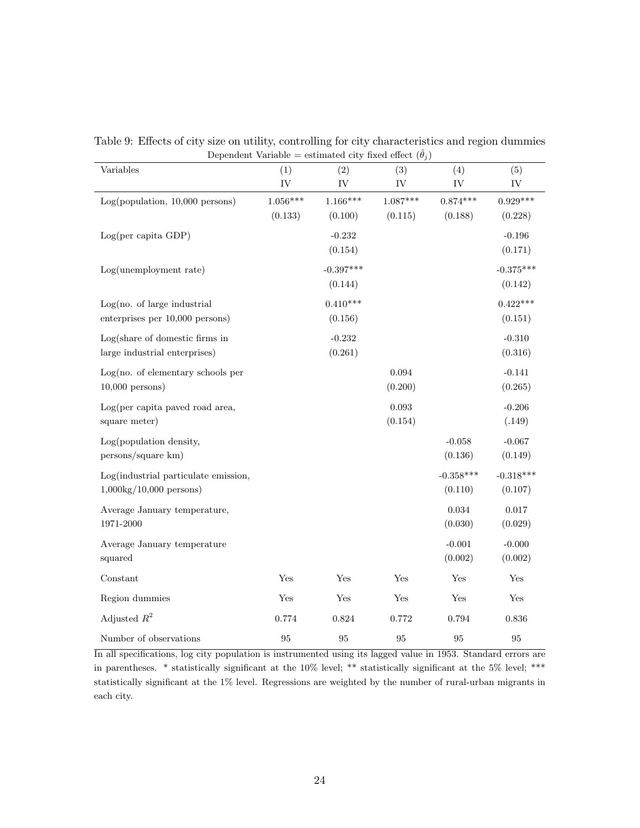| Variables                                                                | (1)                   | (2)                    | $\frac{1}{2}$<br>(3)  | (4)                    | (5)                    |
|--------------------------------------------------------------------------|-----------------------|------------------------|-----------------------|------------------------|------------------------|
|                                                                          | IV                    | IV                     | IV                    | IV                     | IV                     |
| Log(population, 10,000 persons)                                          | $1.056***$<br>(0.133) | $1.166***$<br>(0.100)  | $1.087***$<br>(0.115) | $0.874***$<br>(0.188)  | $0.929***$<br>(0.228)  |
| Log(per capita GDP)                                                      |                       | $-0.232$<br>(0.154)    |                       |                        | $-0.196$<br>(0.171)    |
| $Log(unemboyment\ rate)$                                                 |                       | $-0.397***$<br>(0.144) |                       |                        | $-0.375***$<br>(0.142) |
| Log(no. of large industrial<br>enterprises per 10,000 persons)           |                       | $0.410***$<br>(0.156)  |                       |                        | $0.422***$<br>(0.151)  |
| Log(share of domestic firms in<br>large industrial enterprises)          |                       | $-0.232$<br>(0.261)    |                       |                        | $-0.310$<br>(0.316)    |
| Log(no. of elementary schools per<br>$10,000$ persons)                   |                       |                        | 0.094<br>(0.200)      |                        | $-0.141$<br>(0.265)    |
| Log(per capita paved road area,<br>square meter)                         |                       |                        | 0.093<br>(0.154)      |                        | $-0.206$<br>(.149)     |
| Log(population density,<br>persons/square km)                            |                       |                        |                       | $-0.058$<br>(0.136)    | $-0.067$<br>(0.149)    |
| Log(industrial particulate emission,<br>$1,000\text{kg}/10,000$ persons) |                       |                        |                       | $-0.358***$<br>(0.110) | $-0.318***$<br>(0.107) |
| Average January temperature,<br>1971-2000                                |                       |                        |                       | 0.034<br>(0.030)       | 0.017<br>(0.029)       |
| Average January temperature<br>squared                                   |                       |                        |                       | $-0.001$<br>(0.002)    | $-0.000$<br>(0.002)    |
| Constant                                                                 | Yes                   | Yes                    | Yes                   | Yes                    | Yes                    |
| Region dummies                                                           | Yes                   | $\operatorname{Yes}$   | Yes                   | $\operatorname{Yes}$   | Yes                    |
| Adjusted $R^2$                                                           | 0.774                 | 0.824                  | 0.772                 | 0.794                  | 0.836                  |
| Number of observations                                                   | 95                    | 95                     | $\rm 95$              | 95                     | 95                     |

Table 9: Effects of city size on utility, controlling for city characteristics and region dummies Dependent Variable = estimated city fixed effect  $(\hat{\theta}_i)$ 

In all specifications, log city population is instrumented using its lagged value in 1953. Standard errors are in parentheses. \* statistically significant at the 10% level; \*\* statistically significant at the 5% level; \*\*\* statistically significant at the 1% level. Regressions are weighted by the number of rural-urban migrants in each city.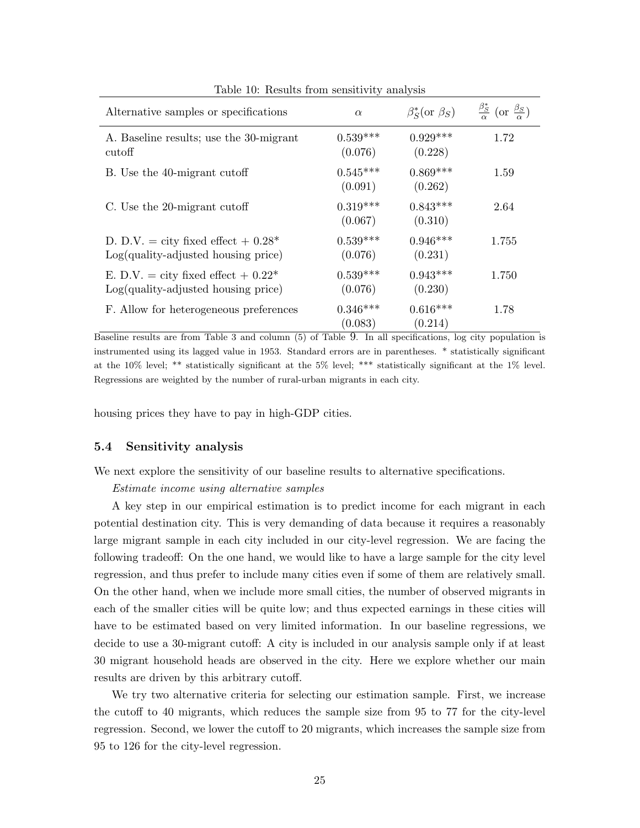| Alternative samples or specifications                                           | $\alpha$              | $\beta_S^*($ or $\beta_S)$ | $\frac{\beta_S^*}{\alpha}$ (or $\frac{\beta_S}{\alpha}$ ) |
|---------------------------------------------------------------------------------|-----------------------|----------------------------|-----------------------------------------------------------|
| A. Baseline results; use the 30-migrant<br>cutoff                               | $0.539***$<br>(0.076) | $0.929***$<br>(0.228)      | 1.72                                                      |
| B. Use the 40-migrant cutoff                                                    | $0.545***$<br>(0.091) | $0.869***$<br>(0.262)      | 1.59                                                      |
| C. Use the 20-migrant cutoff                                                    | $0.319***$<br>(0.067) | $0.843***$<br>(0.310)      | 2.64                                                      |
| D. D.V. = city fixed effect + $0.28^*$<br>$Log(quality-adjusted housing price)$ | $0.539***$<br>(0.076) | $0.946***$<br>(0.231)      | 1.755                                                     |
| E. D.V. = city fixed effect + $0.22^*$<br>$Log(quality-adjusted housing price)$ | $0.539***$<br>(0.076) | $0.943***$<br>(0.230)      | 1.750                                                     |
| F. Allow for heterogeneous preferences                                          | $0.346***$<br>(0.083) | $0.616***$<br>(0.214)      | 1.78                                                      |

Table 10: Results from sensitivity analysis

Baseline results are from Table 3 and column (5) of Table 9. In all specifications, log city population is instrumented using its lagged value in 1953. Standard errors are in parentheses. \* statistically significant at the 10% level; \*\* statistically significant at the 5% level; \*\*\* statistically significant at the 1% level. Regressions are weighted by the number of rural-urban migrants in each city.

housing prices they have to pay in high-GDP cities.

#### 5.4 Sensitivity analysis

We next explore the sensitivity of our baseline results to alternative specifications.

Estimate income using alternative samples

A key step in our empirical estimation is to predict income for each migrant in each potential destination city. This is very demanding of data because it requires a reasonably large migrant sample in each city included in our city-level regression. We are facing the following tradeoff: On the one hand, we would like to have a large sample for the city level regression, and thus prefer to include many cities even if some of them are relatively small. On the other hand, when we include more small cities, the number of observed migrants in each of the smaller cities will be quite low; and thus expected earnings in these cities will have to be estimated based on very limited information. In our baseline regressions, we decide to use a 30-migrant cutoff: A city is included in our analysis sample only if at least 30 migrant household heads are observed in the city. Here we explore whether our main results are driven by this arbitrary cutoff.

We try two alternative criteria for selecting our estimation sample. First, we increase the cutoff to 40 migrants, which reduces the sample size from 95 to 77 for the city-level regression. Second, we lower the cutoff to 20 migrants, which increases the sample size from 95 to 126 for the city-level regression.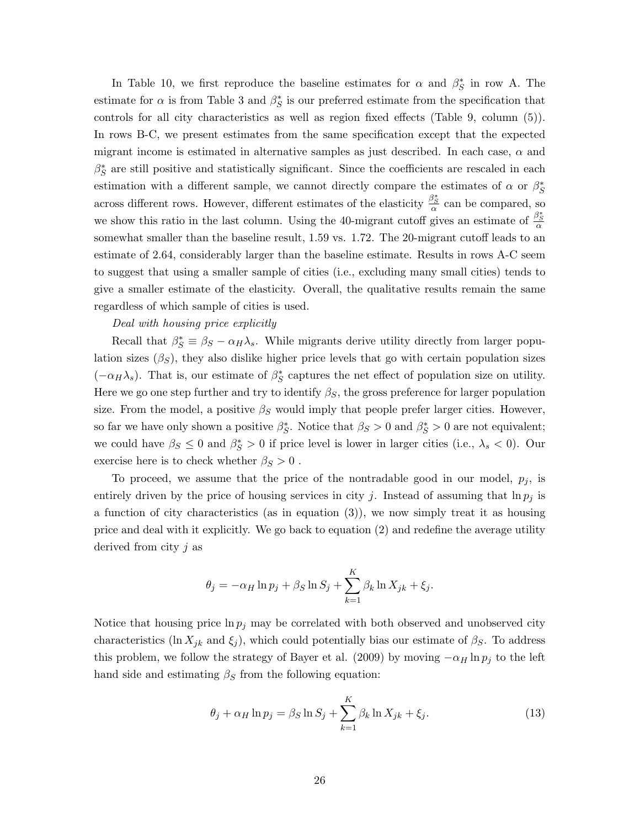In Table 10, we first reproduce the baseline estimates for  $\alpha$  and  $\beta_S^*$  in row A. The estimate for  $\alpha$  is from Table 3 and  $\beta_S^*$  is our preferred estimate from the specification that controls for all city characteristics as well as region fixed effects (Table 9, column (5)). In rows B-C, we present estimates from the same specification except that the expected migrant income is estimated in alternative samples as just described. In each case,  $\alpha$  and  $\beta_S^*$  are still positive and statistically significant. Since the coefficients are rescaled in each estimation with a different sample, we cannot directly compare the estimates of  $\alpha$  or  $\beta_S^*$ across different rows. However, different estimates of the elasticity  $\frac{\beta_S^*}{\alpha}$  can be compared, so we show this ratio in the last column. Using the 40-migrant cutoff gives an estimate of  $\frac{\beta_S^*}{\alpha}$ somewhat smaller than the baseline result, 1.59 vs. 1.72. The 20-migrant cutoff leads to an estimate of 2.64, considerably larger than the baseline estimate. Results in rows A-C seem to suggest that using a smaller sample of cities (i.e., excluding many small cities) tends to give a smaller estimate of the elasticity. Overall, the qualitative results remain the same regardless of which sample of cities is used.

#### Deal with housing price explicitly

Recall that  $\beta_S^* \equiv \beta_S - \alpha_H \lambda_s$ . While migrants derive utility directly from larger population sizes  $(\beta_S)$ , they also dislike higher price levels that go with certain population sizes ( $-\alpha_H\lambda_s$ ). That is, our estimate of  $\beta_S^*$  captures the net effect of population size on utility. Here we go one step further and try to identify  $\beta_S$ , the gross preference for larger population size. From the model, a positive  $\beta_S$  would imply that people prefer larger cities. However, so far we have only shown a positive  $\beta_S^*$ . Notice that  $\beta_S > 0$  and  $\beta_S^* > 0$  are not equivalent; we could have  $\beta_S \leq 0$  and  $\beta_S^* > 0$  if price level is lower in larger cities (i.e.,  $\lambda_s < 0$ ). Our exercise here is to check whether  $\beta_S > 0$ .

To proceed, we assume that the price of the nontradable good in our model,  $p_i$ , is entirely driven by the price of housing services in city j. Instead of assuming that  $\ln p_j$  is a function of city characteristics (as in equation  $(3)$ ), we now simply treat it as housing price and deal with it explicitly. We go back to equation (2) and redefine the average utility derived from city j as

$$
\theta_j = -\alpha_H \ln p_j + \beta_S \ln S_j + \sum_{k=1}^K \beta_k \ln X_{jk} + \xi_j.
$$

Notice that housing price  $\ln p_j$  may be correlated with both observed and unobserved city characteristics (ln  $X_{jk}$  and  $\xi_j$ ), which could potentially bias our estimate of  $\beta_S$ . To address this problem, we follow the strategy of Bayer et al. (2009) by moving  $-\alpha_H \ln p_j$  to the left hand side and estimating  $\beta_S$  from the following equation:

$$
\theta_j + \alpha_H \ln p_j = \beta_S \ln S_j + \sum_{k=1}^K \beta_k \ln X_{jk} + \xi_j. \tag{13}
$$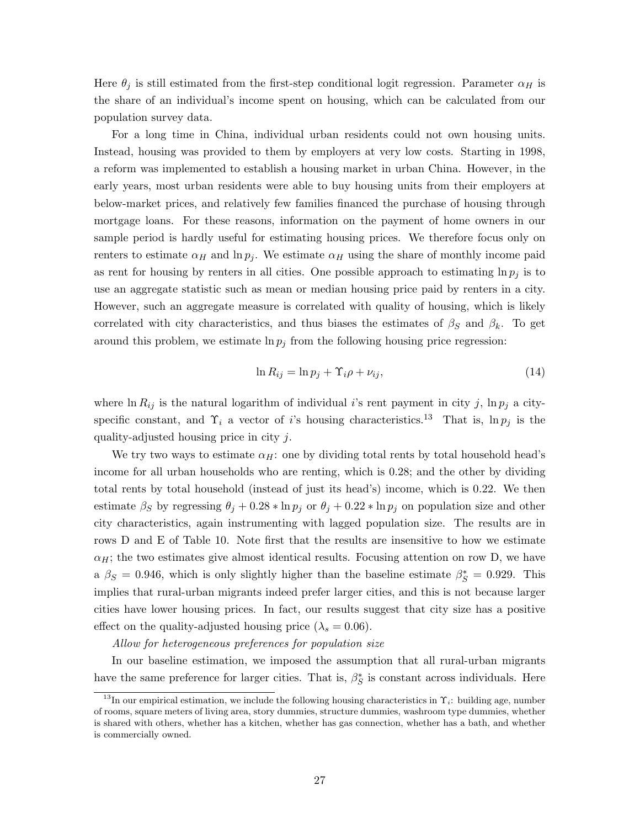Here  $\theta_j$  is still estimated from the first-step conditional logit regression. Parameter  $\alpha_H$  is the share of an individual's income spent on housing, which can be calculated from our population survey data.

For a long time in China, individual urban residents could not own housing units. Instead, housing was provided to them by employers at very low costs. Starting in 1998, a reform was implemented to establish a housing market in urban China. However, in the early years, most urban residents were able to buy housing units from their employers at below-market prices, and relatively few families financed the purchase of housing through mortgage loans. For these reasons, information on the payment of home owners in our sample period is hardly useful for estimating housing prices. We therefore focus only on renters to estimate  $\alpha_H$  and  $\ln p_i$ . We estimate  $\alpha_H$  using the share of monthly income paid as rent for housing by renters in all cities. One possible approach to estimating  $\ln p_i$  is to use an aggregate statistic such as mean or median housing price paid by renters in a city. However, such an aggregate measure is correlated with quality of housing, which is likely correlated with city characteristics, and thus biases the estimates of  $\beta_S$  and  $\beta_k$ . To get around this problem, we estimate  $\ln p_i$  from the following housing price regression:

$$
\ln R_{ij} = \ln p_j + \Upsilon_i \rho + \nu_{ij},\tag{14}
$$

where ln  $R_{ij}$  is the natural logarithm of individual i's rent payment in city j,  $\ln p_j$  a cityspecific constant, and  $\Upsilon_i$  a vector of i's housing characteristics.<sup>13</sup> That is, ln  $p_j$  is the quality-adjusted housing price in city j.

We try two ways to estimate  $\alpha_H$ : one by dividing total rents by total household head's income for all urban households who are renting, which is 0.28; and the other by dividing total rents by total household (instead of just its head's) income, which is 0.22. We then estimate  $\beta_S$  by regressing  $\theta_j + 0.28 * \ln p_j$  or  $\theta_j + 0.22 * \ln p_j$  on population size and other city characteristics, again instrumenting with lagged population size. The results are in rows D and E of Table 10. Note first that the results are insensitive to how we estimate  $\alpha_H$ ; the two estimates give almost identical results. Focusing attention on row D, we have a  $\beta_S = 0.946$ , which is only slightly higher than the baseline estimate  $\beta_S^* = 0.929$ . This implies that rural-urban migrants indeed prefer larger cities, and this is not because larger cities have lower housing prices. In fact, our results suggest that city size has a positive effect on the quality-adjusted housing price ( $\lambda_s = 0.06$ ).

Allow for heterogeneous preferences for population size

In our baseline estimation, we imposed the assumption that all rural-urban migrants have the same preference for larger cities. That is,  $\beta_S^*$  is constant across individuals. Here

<sup>&</sup>lt;sup>13</sup>In our empirical estimation, we include the following housing characteristics in  $\Upsilon_i$ : building age, number of rooms, square meters of living area, story dummies, structure dummies, washroom type dummies, whether is shared with others, whether has a kitchen, whether has gas connection, whether has a bath, and whether is commercially owned.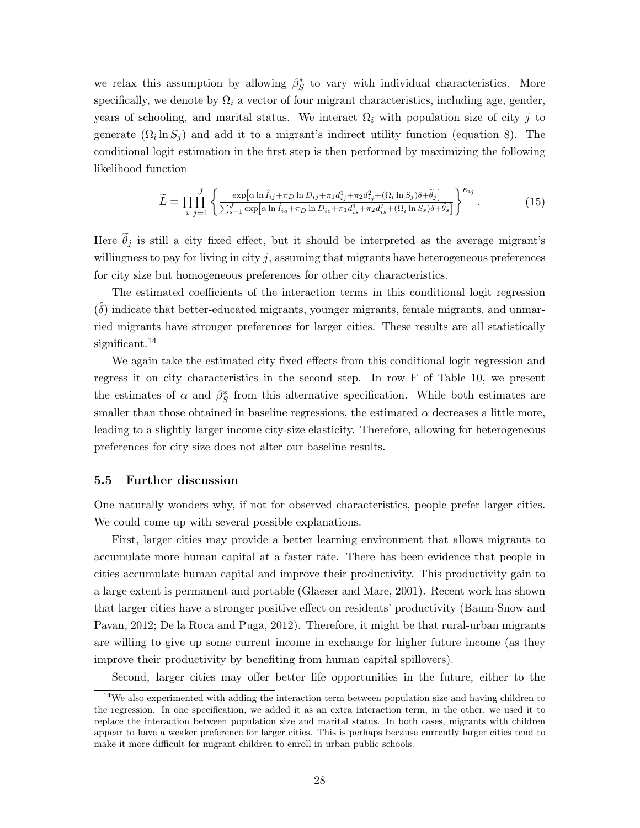we relax this assumption by allowing  $\beta_S^*$  to vary with individual characteristics. More specifically, we denote by  $\Omega_i$  a vector of four migrant characteristics, including age, gender, years of schooling, and marital status. We interact  $\Omega_i$  with population size of city j to generate  $(\Omega_i \ln S_j)$  and add it to a migrant's indirect utility function (equation 8). The conditional logit estimation in the first step is then performed by maximizing the following likelihood function

$$
\widetilde{L} = \prod_{i} \prod_{j=1}^{J} \left\{ \frac{\exp\left[\alpha \ln \widehat{I}_{ij} + \pi_D \ln D_{ij} + \pi_1 d_{ij}^1 + \pi_2 d_{ij}^2 + (\Omega_i \ln S_j) \delta + \widetilde{\theta}_j\right]}{\sum_{s=1}^{J} \exp\left[\alpha \ln \widehat{I}_{is} + \pi_D \ln D_{is} + \pi_1 d_{is}^1 + \pi_2 d_{is}^2 + (\Omega_i \ln S_s) \delta + \widetilde{\theta}_s\right]} \right\}^{\kappa_{ij}}.
$$
\n(15)

Here  $\tilde{\theta}_i$  is still a city fixed effect, but it should be interpreted as the average migrant's willingness to pay for living in city  $j$ , assuming that migrants have heterogeneous preferences for city size but homogeneous preferences for other city characteristics.

The estimated coefficients of the interaction terms in this conditional logit regression  $(\hat{\delta})$  indicate that better-educated migrants, younger migrants, female migrants, and unmarried migrants have stronger preferences for larger cities. These results are all statistically significant.<sup>14</sup>

We again take the estimated city fixed effects from this conditional logit regression and regress it on city characteristics in the second step. In row F of Table 10, we present the estimates of  $\alpha$  and  $\beta_S^*$  from this alternative specification. While both estimates are smaller than those obtained in baseline regressions, the estimated  $\alpha$  decreases a little more, leading to a slightly larger income city-size elasticity. Therefore, allowing for heterogeneous preferences for city size does not alter our baseline results.

#### 5.5 Further discussion

One naturally wonders why, if not for observed characteristics, people prefer larger cities. We could come up with several possible explanations.

First, larger cities may provide a better learning environment that allows migrants to accumulate more human capital at a faster rate. There has been evidence that people in cities accumulate human capital and improve their productivity. This productivity gain to a large extent is permanent and portable (Glaeser and Mare, 2001). Recent work has shown that larger cities have a stronger positive effect on residents' productivity (Baum-Snow and Pavan, 2012; De la Roca and Puga, 2012). Therefore, it might be that rural-urban migrants are willing to give up some current income in exchange for higher future income (as they improve their productivity by benefiting from human capital spillovers).

Second, larger cities may offer better life opportunities in the future, either to the

 $14$ We also experimented with adding the interaction term between population size and having children to the regression. In one specification, we added it as an extra interaction term; in the other, we used it to replace the interaction between population size and marital status. In both cases, migrants with children appear to have a weaker preference for larger cities. This is perhaps because currently larger cities tend to make it more difficult for migrant children to enroll in urban public schools.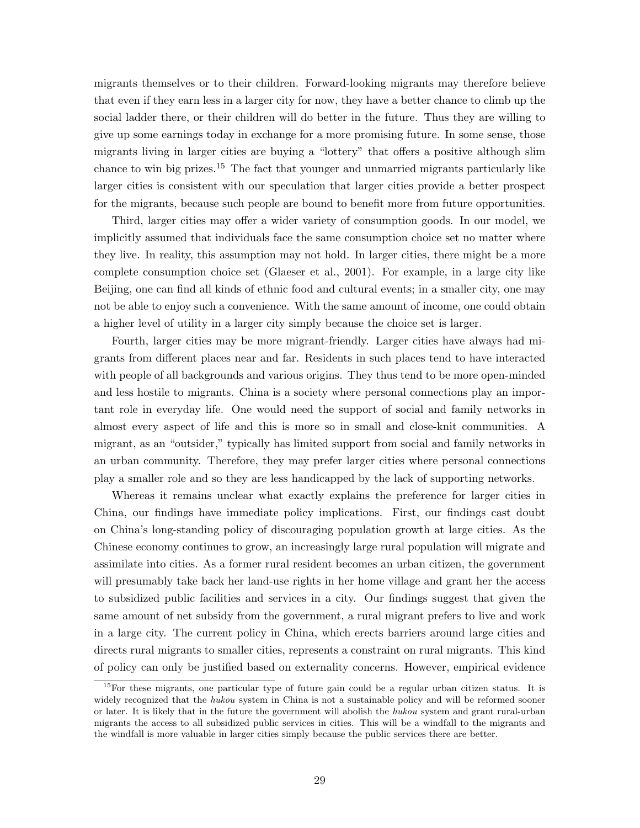migrants themselves or to their children. Forward-looking migrants may therefore believe that even if they earn less in a larger city for now, they have a better chance to climb up the social ladder there, or their children will do better in the future. Thus they are willing to give up some earnings today in exchange for a more promising future. In some sense, those migrants living in larger cities are buying a "lottery" that offers a positive although slim chance to win big prizes.<sup>15</sup> The fact that younger and unmarried migrants particularly like larger cities is consistent with our speculation that larger cities provide a better prospect for the migrants, because such people are bound to benefit more from future opportunities.

Third, larger cities may offer a wider variety of consumption goods. In our model, we implicitly assumed that individuals face the same consumption choice set no matter where they live. In reality, this assumption may not hold. In larger cities, there might be a more complete consumption choice set (Glaeser et al., 2001). For example, in a large city like Beijing, one can find all kinds of ethnic food and cultural events; in a smaller city, one may not be able to enjoy such a convenience. With the same amount of income, one could obtain a higher level of utility in a larger city simply because the choice set is larger.

Fourth, larger cities may be more migrant-friendly. Larger cities have always had migrants from different places near and far. Residents in such places tend to have interacted with people of all backgrounds and various origins. They thus tend to be more open-minded and less hostile to migrants. China is a society where personal connections play an important role in everyday life. One would need the support of social and family networks in almost every aspect of life and this is more so in small and close-knit communities. A migrant, as an "outsider," typically has limited support from social and family networks in an urban community. Therefore, they may prefer larger cities where personal connections play a smaller role and so they are less handicapped by the lack of supporting networks.

Whereas it remains unclear what exactly explains the preference for larger cities in China, our findings have immediate policy implications. First, our findings cast doubt on China's long-standing policy of discouraging population growth at large cities. As the Chinese economy continues to grow, an increasingly large rural population will migrate and assimilate into cities. As a former rural resident becomes an urban citizen, the government will presumably take back her land-use rights in her home village and grant her the access to subsidized public facilities and services in a city. Our findings suggest that given the same amount of net subsidy from the government, a rural migrant prefers to live and work in a large city. The current policy in China, which erects barriers around large cities and directs rural migrants to smaller cities, represents a constraint on rural migrants. This kind of policy can only be justified based on externality concerns. However, empirical evidence

<sup>&</sup>lt;sup>15</sup>For these migrants, one particular type of future gain could be a regular urban citizen status. It is widely recognized that the hukou system in China is not a sustainable policy and will be reformed sooner or later. It is likely that in the future the government will abolish the hukou system and grant rural-urban migrants the access to all subsidized public services in cities. This will be a windfall to the migrants and the windfall is more valuable in larger cities simply because the public services there are better.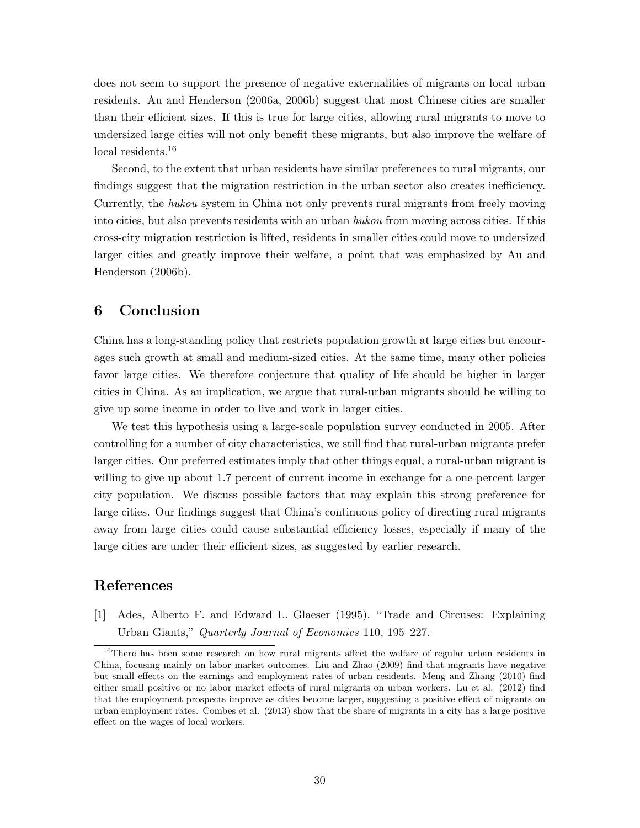does not seem to support the presence of negative externalities of migrants on local urban residents. Au and Henderson (2006a, 2006b) suggest that most Chinese cities are smaller than their efficient sizes. If this is true for large cities, allowing rural migrants to move to undersized large cities will not only benefit these migrants, but also improve the welfare of local residents.<sup>16</sup>

Second, to the extent that urban residents have similar preferences to rural migrants, our findings suggest that the migration restriction in the urban sector also creates inefficiency. Currently, the hukou system in China not only prevents rural migrants from freely moving into cities, but also prevents residents with an urban *hukou* from moving across cities. If this cross-city migration restriction is lifted, residents in smaller cities could move to undersized larger cities and greatly improve their welfare, a point that was emphasized by Au and Henderson (2006b).

# 6 Conclusion

China has a long-standing policy that restricts population growth at large cities but encourages such growth at small and medium-sized cities. At the same time, many other policies favor large cities. We therefore conjecture that quality of life should be higher in larger cities in China. As an implication, we argue that rural-urban migrants should be willing to give up some income in order to live and work in larger cities.

We test this hypothesis using a large-scale population survey conducted in 2005. After controlling for a number of city characteristics, we still find that rural-urban migrants prefer larger cities. Our preferred estimates imply that other things equal, a rural-urban migrant is willing to give up about 1.7 percent of current income in exchange for a one-percent larger city population. We discuss possible factors that may explain this strong preference for large cities. Our findings suggest that China's continuous policy of directing rural migrants away from large cities could cause substantial efficiency losses, especially if many of the large cities are under their efficient sizes, as suggested by earlier research.

# References

[1] Ades, Alberto F. and Edward L. Glaeser (1995). "Trade and Circuses: Explaining Urban Giants," Quarterly Journal of Economics 110, 195–227.

<sup>&</sup>lt;sup>16</sup>There has been some research on how rural migrants affect the welfare of regular urban residents in China, focusing mainly on labor market outcomes. Liu and Zhao (2009) find that migrants have negative but small effects on the earnings and employment rates of urban residents. Meng and Zhang (2010) find either small positive or no labor market effects of rural migrants on urban workers. Lu et al. (2012) find that the employment prospects improve as cities become larger, suggesting a positive effect of migrants on urban employment rates. Combes et al. (2013) show that the share of migrants in a city has a large positive effect on the wages of local workers.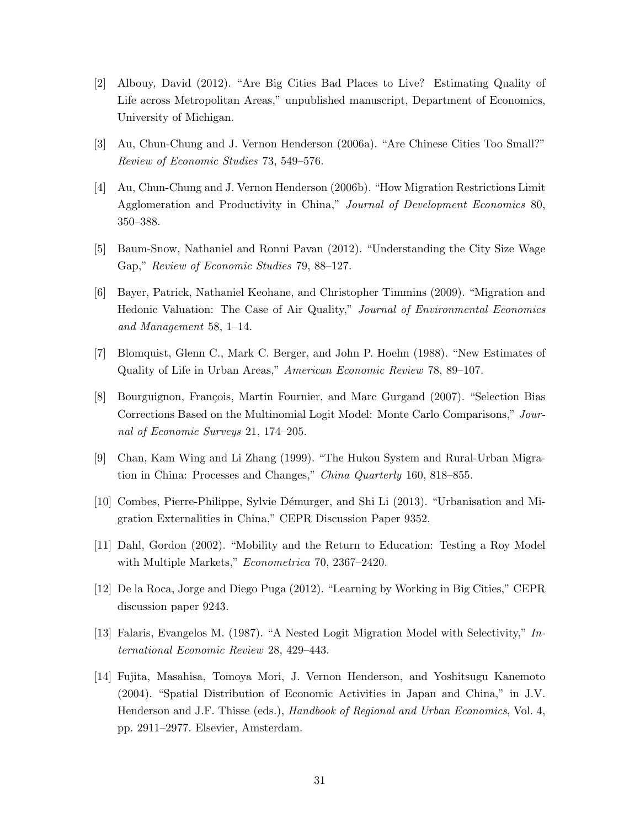- [2] Albouy, David (2012). "Are Big Cities Bad Places to Live? Estimating Quality of Life across Metropolitan Areas," unpublished manuscript, Department of Economics, University of Michigan.
- [3] Au, Chun-Chung and J. Vernon Henderson (2006a). "Are Chinese Cities Too Small?" Review of Economic Studies 73, 549–576.
- [4] Au, Chun-Chung and J. Vernon Henderson (2006b). "How Migration Restrictions Limit Agglomeration and Productivity in China," Journal of Development Economics 80, 350–388.
- [5] Baum-Snow, Nathaniel and Ronni Pavan (2012). "Understanding the City Size Wage Gap," Review of Economic Studies 79, 88–127.
- [6] Bayer, Patrick, Nathaniel Keohane, and Christopher Timmins (2009). "Migration and Hedonic Valuation: The Case of Air Quality," Journal of Environmental Economics and Management 58, 1–14.
- [7] Blomquist, Glenn C., Mark C. Berger, and John P. Hoehn (1988). "New Estimates of Quality of Life in Urban Areas," American Economic Review 78, 89–107.
- [8] Bourguignon, François, Martin Fournier, and Marc Gurgand (2007). "Selection Bias Corrections Based on the Multinomial Logit Model: Monte Carlo Comparisons," Journal of Economic Surveys 21, 174–205.
- [9] Chan, Kam Wing and Li Zhang (1999). "The Hukou System and Rural-Urban Migration in China: Processes and Changes," China Quarterly 160, 818–855.
- [10] Combes, Pierre-Philippe, Sylvie D´emurger, and Shi Li (2013). "Urbanisation and Migration Externalities in China," CEPR Discussion Paper 9352.
- [11] Dahl, Gordon (2002). "Mobility and the Return to Education: Testing a Roy Model with Multiple Markets," Econometrica 70, 2367–2420.
- [12] De la Roca, Jorge and Diego Puga (2012). "Learning by Working in Big Cities," CEPR discussion paper 9243.
- [13] Falaris, Evangelos M. (1987). "A Nested Logit Migration Model with Selectivity," International Economic Review 28, 429–443.
- [14] Fujita, Masahisa, Tomoya Mori, J. Vernon Henderson, and Yoshitsugu Kanemoto (2004). "Spatial Distribution of Economic Activities in Japan and China," in J.V. Henderson and J.F. Thisse (eds.), Handbook of Regional and Urban Economics, Vol. 4, pp. 2911–2977. Elsevier, Amsterdam.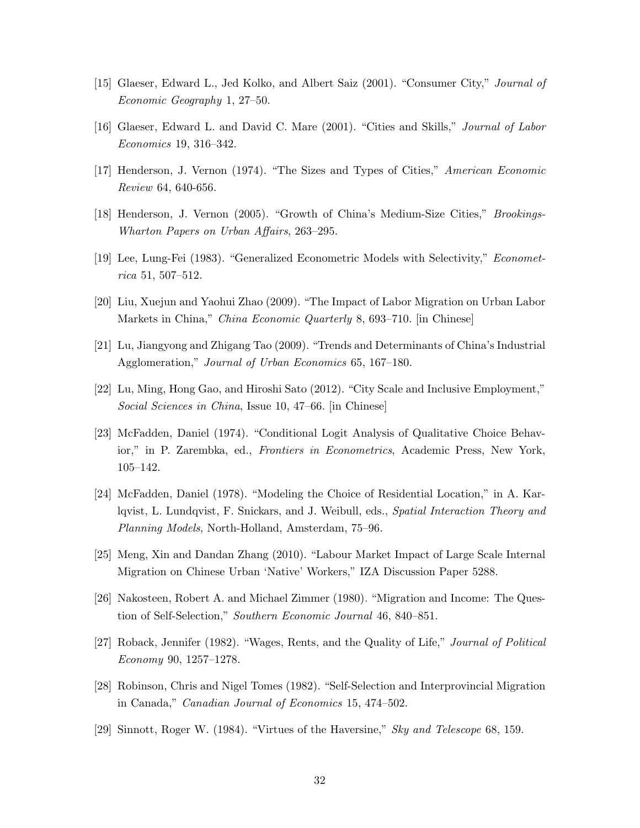- [15] Glaeser, Edward L., Jed Kolko, and Albert Saiz (2001). "Consumer City," Journal of Economic Geography 1, 27–50.
- [16] Glaeser, Edward L. and David C. Mare (2001). "Cities and Skills," Journal of Labor Economics 19, 316–342.
- [17] Henderson, J. Vernon (1974). "The Sizes and Types of Cities," American Economic Review 64, 640-656.
- [18] Henderson, J. Vernon (2005). "Growth of China's Medium-Size Cities," Brookings-Wharton Papers on Urban Affairs, 263–295.
- [19] Lee, Lung-Fei (1983). "Generalized Econometric Models with Selectivity," Econometrica 51, 507–512.
- [20] Liu, Xuejun and Yaohui Zhao (2009). "The Impact of Labor Migration on Urban Labor Markets in China," China Economic Quarterly 8, 693–710. [in Chinese]
- [21] Lu, Jiangyong and Zhigang Tao (2009). "Trends and Determinants of China's Industrial Agglomeration," Journal of Urban Economics 65, 167–180.
- [22] Lu, Ming, Hong Gao, and Hiroshi Sato (2012). "City Scale and Inclusive Employment," Social Sciences in China, Issue 10, 47–66. [in Chinese]
- [23] McFadden, Daniel (1974). "Conditional Logit Analysis of Qualitative Choice Behavior," in P. Zarembka, ed., Frontiers in Econometrics, Academic Press, New York, 105–142.
- [24] McFadden, Daniel (1978). "Modeling the Choice of Residential Location," in A. Karlqvist, L. Lundqvist, F. Snickars, and J. Weibull, eds., Spatial Interaction Theory and Planning Models, North-Holland, Amsterdam, 75–96.
- [25] Meng, Xin and Dandan Zhang (2010). "Labour Market Impact of Large Scale Internal Migration on Chinese Urban 'Native' Workers," IZA Discussion Paper 5288.
- [26] Nakosteen, Robert A. and Michael Zimmer (1980). "Migration and Income: The Question of Self-Selection," Southern Economic Journal 46, 840–851.
- [27] Roback, Jennifer (1982). "Wages, Rents, and the Quality of Life," Journal of Political Economy 90, 1257–1278.
- [28] Robinson, Chris and Nigel Tomes (1982). "Self-Selection and Interprovincial Migration in Canada," Canadian Journal of Economics 15, 474–502.
- [29] Sinnott, Roger W. (1984). "Virtues of the Haversine," Sky and Telescope 68, 159.